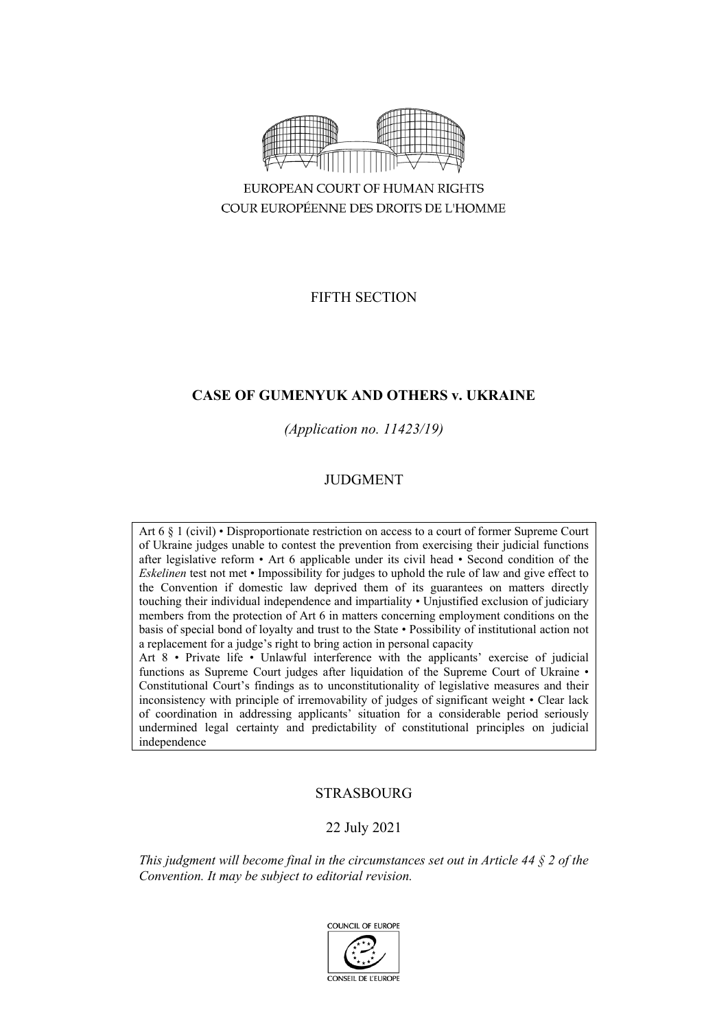

COUR EUROPÉENNE DES DROITS DE L'HOMME

FIFTH SECTION

# **CASE OF GUMENYUK AND OTHERS v. UKRAINE**

*(Application no. 11423/19)*

# JUDGMENT

Art 6 § 1 (civil) • Disproportionate restriction on access to a court of former Supreme Court of Ukraine judges unable to contest the prevention from exercising their judicial functions after legislative reform • Art 6 applicable under its civil head • Second condition of the *Eskelinen* test not met • Impossibility for judges to uphold the rule of law and give effect to the Convention if domestic law deprived them of its guarantees on matters directly touching their individual independence and impartiality • Unjustified exclusion of judiciary members from the protection of Art 6 in matters concerning employment conditions on the basis of special bond of loyalty and trust to the State • Possibility of institutional action not a replacement for a judge's right to bring action in personal capacity

Art 8 • Private life • Unlawful interference with the applicants' exercise of judicial functions as Supreme Court judges after liquidation of the Supreme Court of Ukraine • Constitutional Court's findings as to unconstitutionality of legislative measures and their inconsistency with principle of irremovability of judges of significant weight • Clear lack of coordination in addressing applicants' situation for a considerable period seriously undermined legal certainty and predictability of constitutional principles on judicial independence

# STRASBOURG

# 22 July 2021

*This judgment will become final in the circumstances set out in Article 44 § 2 of the Convention. It may be subject to editorial revision.*

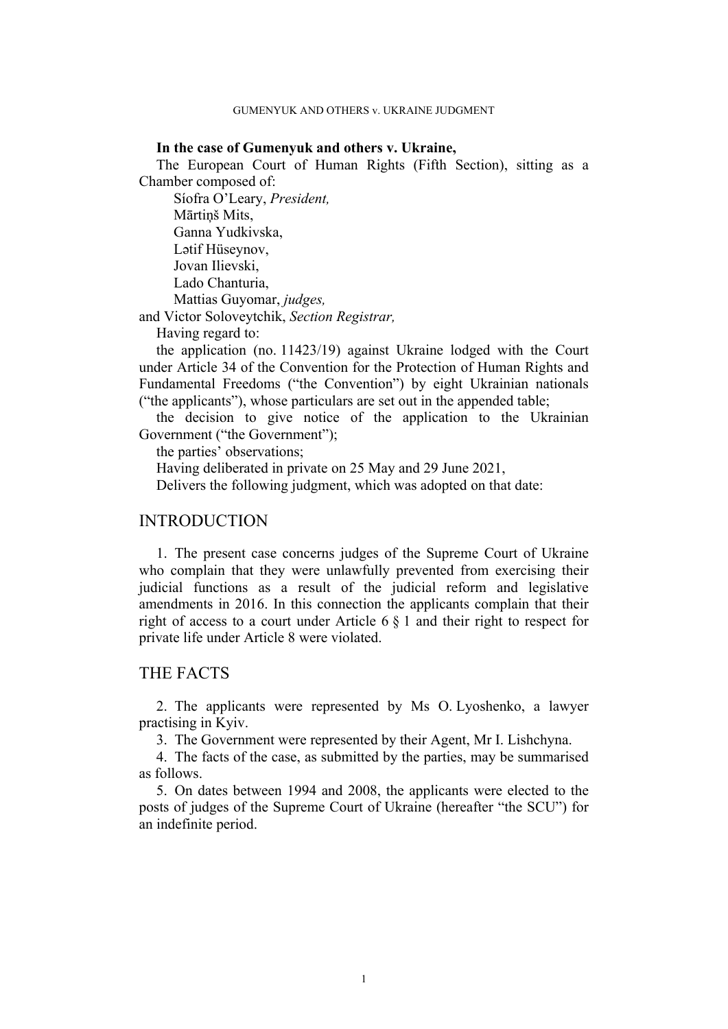#### **In the case of Gumenyuk and others v. Ukraine,**

The European Court of Human Rights (Fifth Section), sitting as a Chamber composed of:

Síofra O'Leary, *President,* Mārtiņš Mits, Ganna Yudkivska, Lətif Hüseynov, Jovan Ilievski, Lado Chanturia, Mattias Guyomar, *judges,*

and Victor Soloveytchik, *Section Registrar,*

Having regard to:

the application (no. 11423/19) against Ukraine lodged with the Court under Article 34 of the Convention for the Protection of Human Rights and Fundamental Freedoms ("the Convention") by eight Ukrainian nationals ("the applicants"), whose particulars are set out in the appended table;

the decision to give notice of the application to the Ukrainian Government ("the Government");

the parties' observations;

Having deliberated in private on 25 May and 29 June 2021,

Delivers the following judgment, which was adopted on that date:

# INTRODUCTION

1. The present case concerns judges of the Supreme Court of Ukraine who complain that they were unlawfully prevented from exercising their judicial functions as a result of the judicial reform and legislative amendments in 2016. In this connection the applicants complain that their right of access to a court under Article 6 § 1 and their right to respect for private life under Article 8 were violated.

## THE FACTS

2. The applicants were represented by Ms O. Lyoshenko, a lawyer practising in Kyiv.

3. The Government were represented by their Agent, Mr I. Lishchyna.

4. The facts of the case, as submitted by the parties, may be summarised as follows.

5. On dates between 1994 and 2008, the applicants were elected to the posts of judges of the Supreme Court of Ukraine (hereafter "the SCU") for an indefinite period.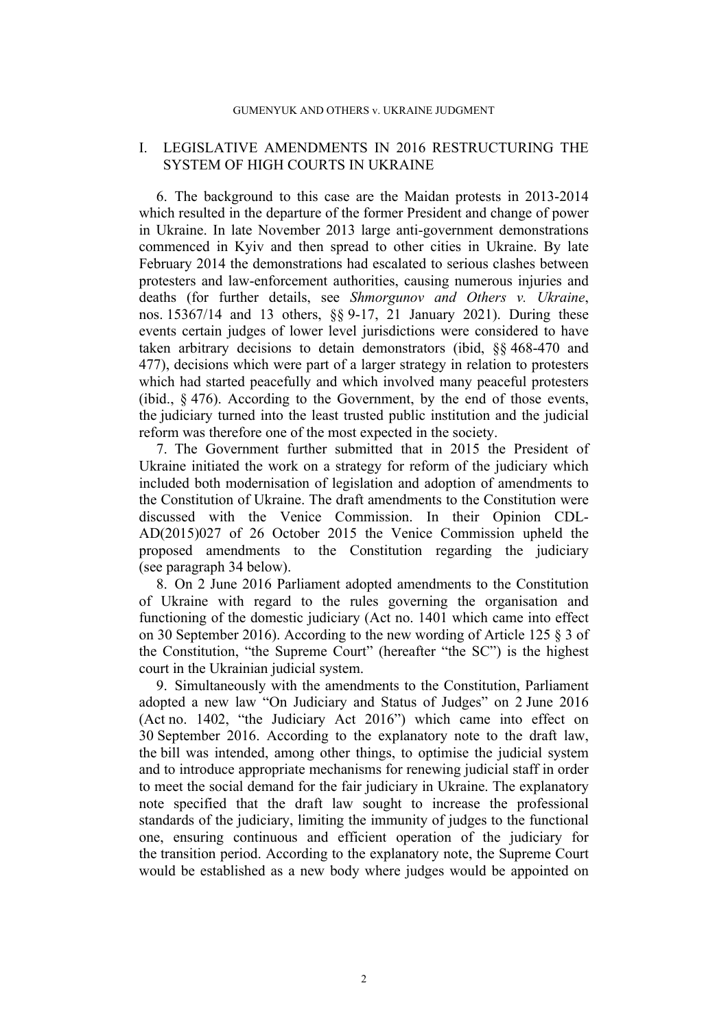#### GUMENYUK AND OTHERS v. UKRAINE JUDGMENT

## I. LEGISLATIVE AMENDMENTS IN 2016 RESTRUCTURING THE SYSTEM OF HIGH COURTS IN UKRAINE

6. The background to this case are the Maidan protests in 2013-2014 which resulted in the departure of the former President and change of power in Ukraine. In late November 2013 large anti-government demonstrations commenced in Kyiv and then spread to other cities in Ukraine. By late February 2014 the demonstrations had escalated to serious clashes between protesters and law-enforcement authorities, causing numerous injuries and deaths (for further details, see *Shmorgunov and Others v. Ukraine*, nos. 15367/14 and 13 others, §§ 9-17, 21 January 2021). During these events certain judges of lower level jurisdictions were considered to have taken arbitrary decisions to detain demonstrators (ibid, §§ 468-470 and 477), decisions which were part of a larger strategy in relation to protesters which had started peacefully and which involved many peaceful protesters (ibid., § 476). According to the Government, by the end of those events, the judiciary turned into the least trusted public institution and the judicial reform was therefore one of the most expected in the society.

7. The Government further submitted that in 2015 the President of Ukraine initiated the work on a strategy for reform of the judiciary which included both modernisation of legislation and adoption of amendments to the Constitution of Ukraine. The draft amendments to the Constitution were discussed with the Venice Commission. In their Opinion CDL-AD(2015)027 of 26 October 2015 the Venice Commission upheld the proposed amendments to the Constitution regarding the judiciary (see paragraph [34](#page-10-0) below).

8. On 2 June 2016 Parliament adopted amendments to the Constitution of Ukraine with regard to the rules governing the organisation and functioning of the domestic judiciary (Act no. 1401 which came into effect on 30 September 2016). According to the new wording of Article 125 § 3 of the Constitution, "the Supreme Court" (hereafter "the SC") is the highest court in the Ukrainian judicial system.

<span id="page-3-0"></span>9. Simultaneously with the amendments to the Constitution, Parliament adopted a new law "On Judiciary and Status of Judges" on 2 June 2016 (Act no. 1402, "the Judiciary Act 2016") which came into effect on 30 September 2016. According to the explanatory note to the draft law, the bill was intended, among other things, to optimise the judicial system and to introduce appropriate mechanisms for renewing judicial staff in order to meet the social demand for the fair judiciary in Ukraine. The explanatory note specified that the draft law sought to increase the professional standards of the judiciary, limiting the immunity of judges to the functional one, ensuring continuous and efficient operation of the judiciary for the transition period. According to the explanatory note, the Supreme Court would be established as a new body where judges would be appointed on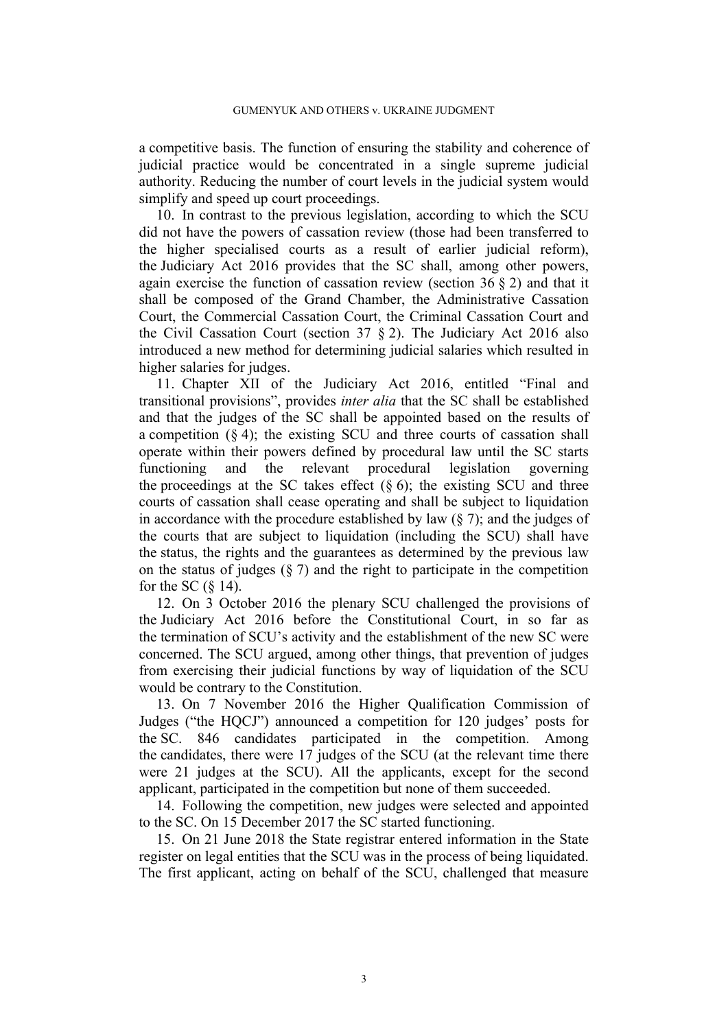a competitive basis. The function of ensuring the stability and coherence of judicial practice would be concentrated in a single supreme judicial authority. Reducing the number of court levels in the judicial system would simplify and speed up court proceedings.

10. In contrast to the previous legislation, according to which the SCU did not have the powers of cassation review (those had been transferred to the higher specialised courts as a result of earlier judicial reform), the Judiciary Act 2016 provides that the SC shall, among other powers, again exercise the function of cassation review (section  $36 \& 2$ ) and that it shall be composed of the Grand Chamber, the Administrative Cassation Court, the Commercial Cassation Court, the Criminal Cassation Court and the Civil Cassation Court (section 37 § 2). The Judiciary Act 2016 also introduced a new method for determining judicial salaries which resulted in higher salaries for judges.

11. Chapter XII of the Judiciary Act 2016, entitled "Final and transitional provisions", provides *inter alia* that the SC shall be established and that the judges of the SC shall be appointed based on the results of a competition  $(\S 4)$ ; the existing SCU and three courts of cassation shall operate within their powers defined by procedural law until the SC starts functioning and the relevant procedural legislation governing the proceedings at the SC takes effect  $(\S 6)$ ; the existing SCU and three courts of cassation shall cease operating and shall be subject to liquidation in accordance with the procedure established by law  $(\S 7)$ ; and the judges of the courts that are subject to liquidation (including the SCU) shall have the status, the rights and the guarantees as determined by the previous law on the status of judges  $(\xi, 7)$  and the right to participate in the competition for the SC  $(\S$  14).

12. On 3 October 2016 the plenary SCU challenged the provisions of the Judiciary Act 2016 before the Constitutional Court, in so far as the termination of SCU's activity and the establishment of the new SC were concerned. The SCU argued, among other things, that prevention of judges from exercising their judicial functions by way of liquidation of the SCU would be contrary to the Constitution.

13. On 7 November 2016 the Higher Qualification Commission of Judges ("the HQCJ") announced a competition for 120 judges' posts for the SC. 846 candidates participated in the competition. Among the candidates, there were 17 judges of the SCU (at the relevant time there were 21 judges at the SCU). All the applicants, except for the second applicant, participated in the competition but none of them succeeded.

<span id="page-4-1"></span>14. Following the competition, new judges were selected and appointed to the SC. On 15 December 2017 the SC started functioning.

<span id="page-4-0"></span>15. On 21 June 2018 the State registrar entered information in the State register on legal entities that the SCU was in the process of being liquidated. The first applicant, acting on behalf of the SCU, challenged that measure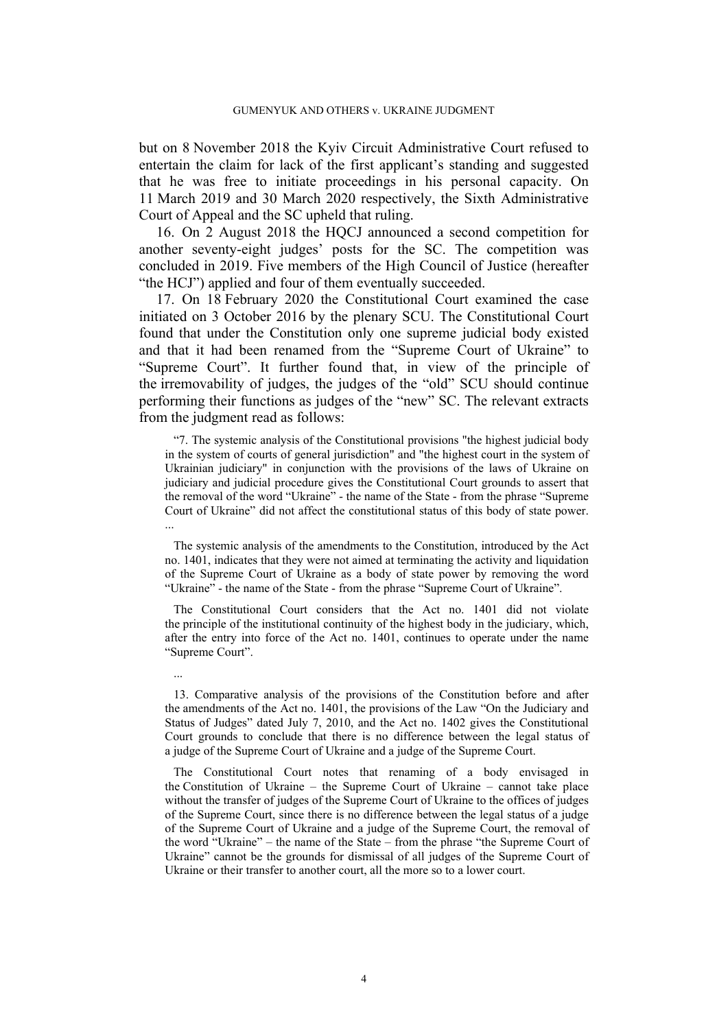but on 8 November 2018 the Kyiv Circuit Administrative Court refused to entertain the claim for lack of the first applicant's standing and suggested that he was free to initiate proceedings in his personal capacity. On 11 March 2019 and 30 March 2020 respectively, the Sixth Administrative Court of Appeal and the SC upheld that ruling.

<span id="page-5-0"></span>16. On 2 August 2018 the HQCJ announced a second competition for another seventy-eight judges' posts for the SC. The competition was concluded in 2019. Five members of the High Council of Justice (hereafter "the HCJ") applied and four of them eventually succeeded.

<span id="page-5-1"></span>17. On 18 February 2020 the Constitutional Court examined the case initiated on 3 October 2016 by the plenary SCU. The Constitutional Court found that under the Constitution only one supreme judicial body existed and that it had been renamed from the "Supreme Court of Ukraine" to "Supreme Court". It further found that, in view of the principle of the irremovability of judges, the judges of the "old" SCU should continue performing their functions as judges of the "new" SC. The relevant extracts from the judgment read as follows:

"7. The systemic analysis of the Constitutional provisions "the highest judicial body in the system of courts of general jurisdiction" and "the highest court in the system of Ukrainian judiciary" in conjunction with the provisions of the laws of Ukraine on judiciary and judicial procedure gives the Constitutional Court grounds to assert that the removal of the word "Ukraine" - the name of the State - from the phrase "Supreme Court of Ukraine" did not affect the constitutional status of this body of state power. ...

The systemic analysis of the amendments to the Constitution, introduced by the Act no. 1401, indicates that they were not aimed at terminating the activity and liquidation of the Supreme Court of Ukraine as a body of state power by removing the word "Ukraine" - the name of the State - from the phrase "Supreme Court of Ukraine".

The Constitutional Court considers that the Act no. 1401 did not violate the principle of the institutional continuity of the highest body in the judiciary, which, after the entry into force of the Act no. 1401, continues to operate under the name "Supreme Court".

...

13. Comparative analysis of the provisions of the Constitution before and after the amendments of the Act no. 1401, the provisions of the Law "On the Judiciary and Status of Judges" dated July 7, 2010, and the Act no. 1402 gives the Constitutional Court grounds to conclude that there is no difference between the legal status of a judge of the Supreme Court of Ukraine and a judge of the Supreme Court.

The Constitutional Court notes that renaming of a body envisaged in the Constitution of Ukraine – the Supreme Court of Ukraine – cannot take place without the transfer of judges of the Supreme Court of Ukraine to the offices of judges of the Supreme Court, since there is no difference between the legal status of a judge of the Supreme Court of Ukraine and a judge of the Supreme Court, the removal of the word "Ukraine" – the name of the State – from the phrase "the Supreme Court of Ukraine" cannot be the grounds for dismissal of all judges of the Supreme Court of Ukraine or their transfer to another court, all the more so to a lower court.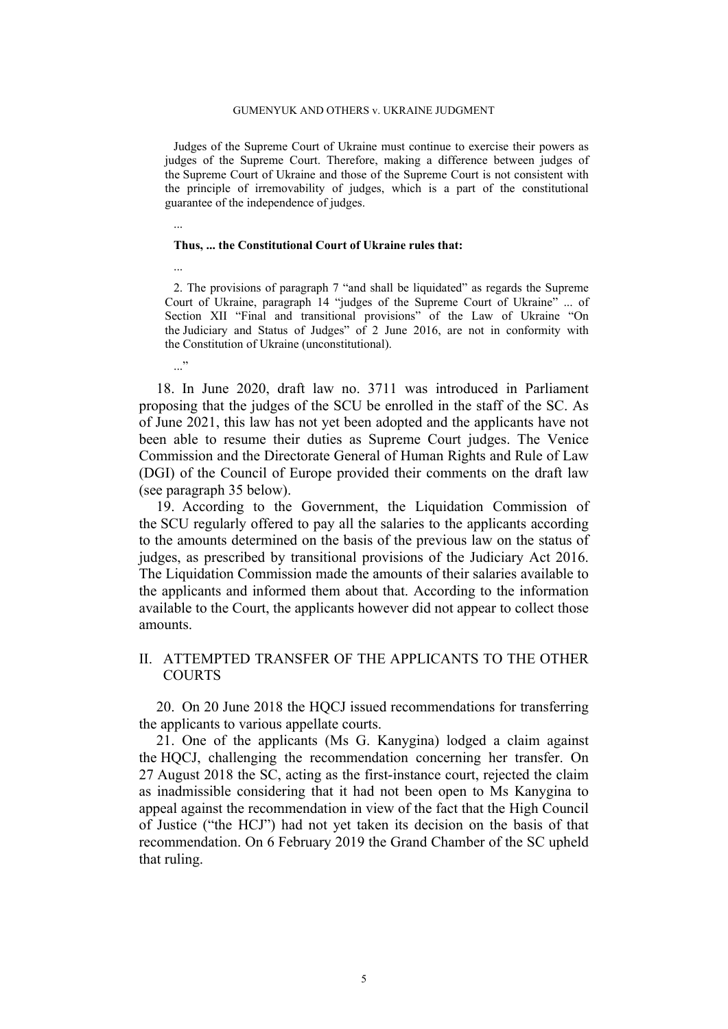#### GUMENYUK AND OTHERS v. UKRAINE JUDGMENT

Judges of the Supreme Court of Ukraine must continue to exercise their powers as judges of the Supreme Court. Therefore, making a difference between judges of the Supreme Court of Ukraine and those of the Supreme Court is not consistent with the principle of irremovability of judges, which is a part of the constitutional guarantee of the independence of judges.

...

...

..."

#### **Thus, ... the Constitutional Court of Ukraine rules that:**

2. The provisions of paragraph 7 "and shall be liquidated" as regards the Supreme Court of Ukraine, paragraph 14 "judges of the Supreme Court of Ukraine" ... of Section XII "Final and transitional provisions" of the Law of Ukraine "On the Judiciary and Status of Judges" of 2 June 2016, are not in conformity with the Constitution of Ukraine (unconstitutional).

<span id="page-6-0"></span>18. In June 2020, draft law no. 3711 was introduced in Parliament proposing that the judges of the SCU be enrolled in the staff of the SC. As of June 2021, this law has not yet been adopted and the applicants have not been able to resume their duties as Supreme Court judges. The Venice Commission and the Directorate General of Human Rights and Rule of Law (DGI) of the Council of Europe provided their comments on the draft law (see paragraph [35](#page-11-0) below).

19. According to the Government, the Liquidation Commission of the SCU regularly offered to pay all the salaries to the applicants according to the amounts determined on the basis of the previous law on the status of judges, as prescribed by transitional provisions of the Judiciary Act 2016. The Liquidation Commission made the amounts of their salaries available to the applicants and informed them about that. According to the information available to the Court, the applicants however did not appear to collect those amounts.

## II. ATTEMPTED TRANSFER OF THE APPLICANTS TO THE OTHER COURTS

20. On 20 June 2018 the HQCJ issued recommendations for transferring the applicants to various appellate courts.

21. One of the applicants (Ms G. Kanygina) lodged a claim against the HQCJ, challenging the recommendation concerning her transfer. On 27 August 2018 the SC, acting as the first-instance court, rejected the claim as inadmissible considering that it had not been open to Ms Kanygina to appeal against the recommendation in view of the fact that the High Council of Justice ("the HCJ") had not yet taken its decision on the basis of that recommendation. On 6 February 2019 the Grand Chamber of the SC upheld that ruling.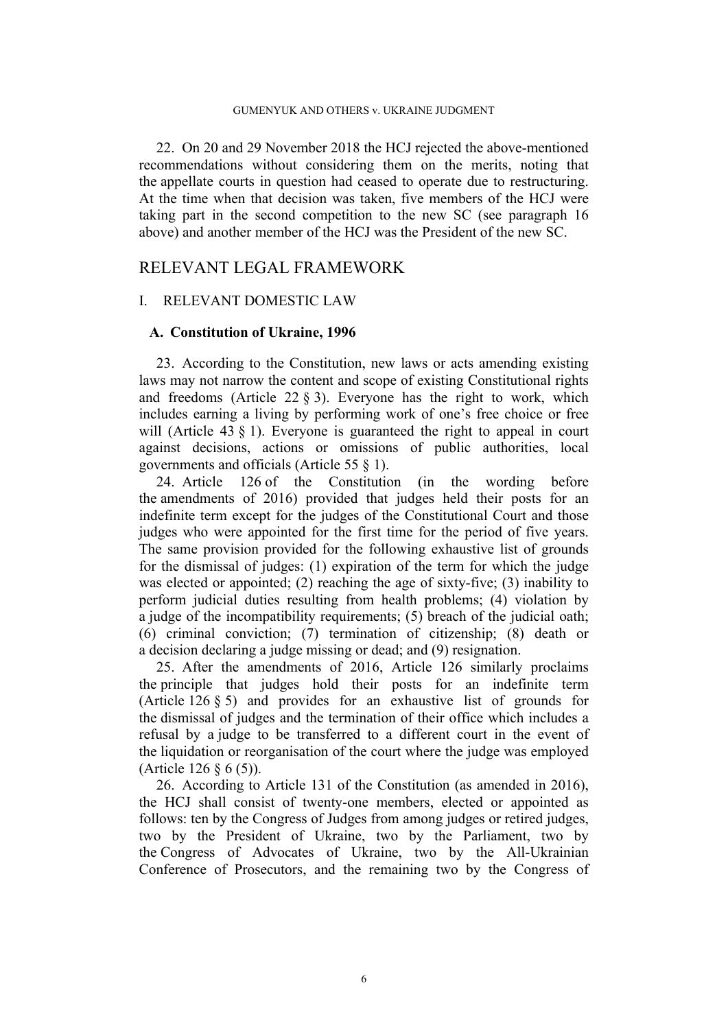<span id="page-7-2"></span>22. On 20 and 29 November 2018 the HCJ rejected the above-mentioned recommendations without considering them on the merits, noting that the appellate courts in question had ceased to operate due to restructuring. At the time when that decision was taken, five members of the HCJ were taking part in the second competition to the new SC (see paragraph [16](#page-5-0) above) and another member of the HCJ was the President of the new SC.

# RELEVANT LEGAL FRAMEWORK

# I. RELEVANT DOMESTIC LAW

#### **A. Constitution of Ukraine, 1996**

<span id="page-7-0"></span>23. According to the Constitution, new laws or acts amending existing laws may not narrow the content and scope of existing Constitutional rights and freedoms (Article 22 § 3). Everyone has the right to work, which includes earning a living by performing work of one's free choice or free will (Article 43  $\S$  1). Everyone is guaranteed the right to appeal in court against decisions, actions or omissions of public authorities, local governments and officials (Article 55 § 1).

<span id="page-7-1"></span>24. Article 126 of the Constitution (in the wording before the amendments of 2016) provided that judges held their posts for an indefinite term except for the judges of the Constitutional Court and those judges who were appointed for the first time for the period of five years. The same provision provided for the following exhaustive list of grounds for the dismissal of judges: (1) expiration of the term for which the judge was elected or appointed; (2) reaching the age of sixty-five; (3) inability to perform judicial duties resulting from health problems; (4) violation by a judge of the incompatibility requirements; (5) breach of the judicial oath; (6) criminal conviction; (7) termination of citizenship; (8) death or a decision declaring a judge missing or dead; and (9) resignation.

25. After the amendments of 2016, Article 126 similarly proclaims the principle that judges hold their posts for an indefinite term (Article 126 § 5) and provides for an exhaustive list of grounds for the dismissal of judges and the termination of their office which includes a refusal by a judge to be transferred to a different court in the event of the liquidation or reorganisation of the court where the judge was employed (Article 126 § 6 (5)).

26. According to Article 131 of the Constitution (as amended in 2016), the HCJ shall consist of twenty-one members, elected or appointed as follows: ten by the Congress of Judges from among judges or retired judges, two by the President of Ukraine, two by the Parliament, two by the Congress of Advocates of Ukraine, two by the All-Ukrainian Conference of Prosecutors, and the remaining two by the Congress of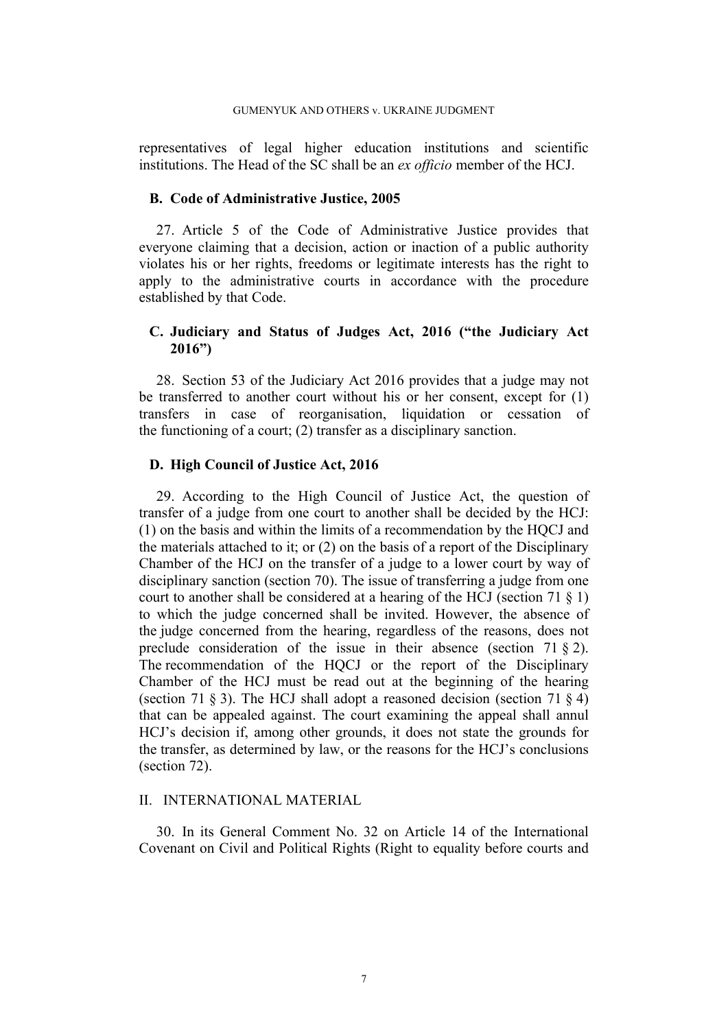representatives of legal higher education institutions and scientific institutions. The Head of the SC shall be an *ex officio* member of the HCJ.

#### **B. Code of Administrative Justice, 2005**

<span id="page-8-0"></span>27. Article 5 of the Code of Administrative Justice provides that everyone claiming that a decision, action or inaction of a public authority violates his or her rights, freedoms or legitimate interests has the right to apply to the administrative courts in accordance with the procedure established by that Code.

# **C. Judiciary and Status of Judges Act, 2016 ("the Judiciary Act 2016")**

28. Section 53 of the Judiciary Act 2016 provides that a judge may not be transferred to another court without his or her consent, except for (1) transfers in case of reorganisation, liquidation or cessation of the functioning of a court; (2) transfer as a disciplinary sanction.

## **D. High Council of Justice Act, 2016**

<span id="page-8-2"></span>29. According to the High Council of Justice Act, the question of transfer of a judge from one court to another shall be decided by the HCJ: (1) on the basis and within the limits of a recommendation by the HQCJ and the materials attached to it; or (2) on the basis of a report of the Disciplinary Chamber of the HCJ on the transfer of a judge to a lower court by way of disciplinary sanction (section 70). The issue of transferring a judge from one court to another shall be considered at a hearing of the HCJ (section 71 § 1) to which the judge concerned shall be invited. However, the absence of the judge concerned from the hearing, regardless of the reasons, does not preclude consideration of the issue in their absence (section 71 § 2). The recommendation of the HOCJ or the report of the Disciplinary Chamber of the HCJ must be read out at the beginning of the hearing (section 71  $\S$  3). The HCJ shall adopt a reasoned decision (section 71  $\S$  4) that can be appealed against. The court examining the appeal shall annul HCJ's decision if, among other grounds, it does not state the grounds for the transfer, as determined by law, or the reasons for the HCJ's conclusions (section 72).

## II. INTERNATIONAL MATERIAL

<span id="page-8-1"></span>30. In its General Comment No. 32 on Article 14 of the International Covenant on Civil and Political Rights (Right to equality before courts and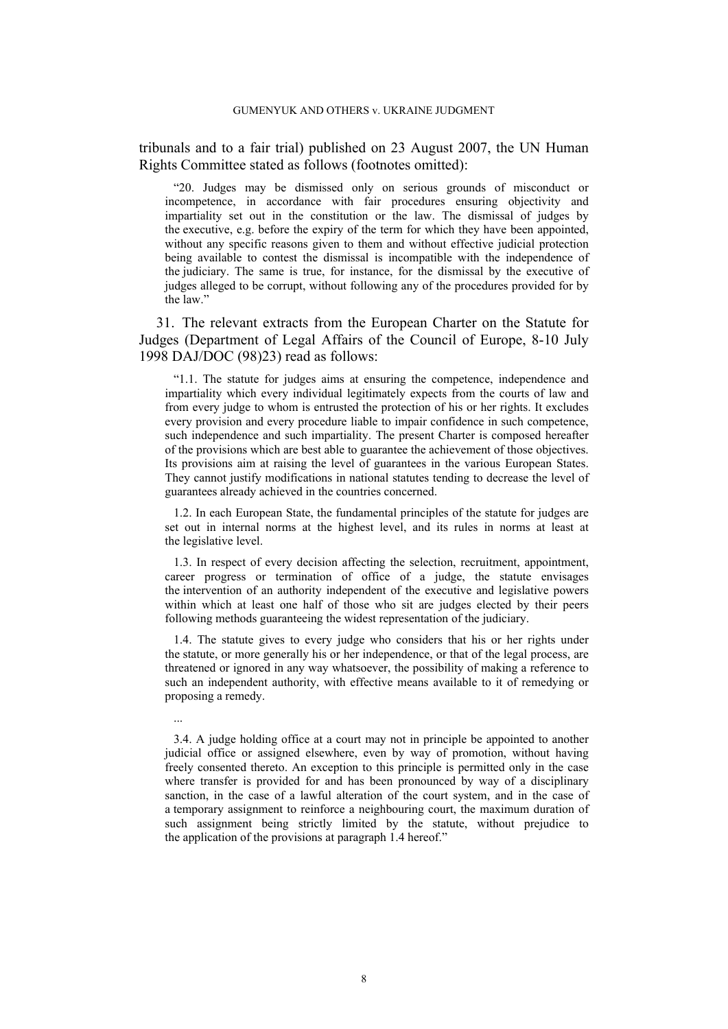tribunals and to a fair trial) published on 23 August 2007, the UN Human Rights Committee stated as follows (footnotes omitted):

"20. Judges may be dismissed only on serious grounds of misconduct or incompetence, in accordance with fair procedures ensuring objectivity and impartiality set out in the constitution or the law. The dismissal of judges by the executive, e.g. before the expiry of the term for which they have been appointed, without any specific reasons given to them and without effective judicial protection being available to contest the dismissal is incompatible with the independence of the judiciary. The same is true, for instance, for the dismissal by the executive of judges alleged to be corrupt, without following any of the procedures provided for by the law."

<span id="page-9-0"></span>31. The relevant extracts from the European Charter on the Statute for Judges (Department of Legal Affairs of the Council of Europe, 8-10 July 1998 DAJ/DOC (98)23) read as follows:

"1.1. The statute for judges aims at ensuring the competence, independence and impartiality which every individual legitimately expects from the courts of law and from every judge to whom is entrusted the protection of his or her rights. It excludes every provision and every procedure liable to impair confidence in such competence, such independence and such impartiality. The present Charter is composed hereafter of the provisions which are best able to guarantee the achievement of those objectives. Its provisions aim at raising the level of guarantees in the various European States. They cannot justify modifications in national statutes tending to decrease the level of guarantees already achieved in the countries concerned.

1.2. In each European State, the fundamental principles of the statute for judges are set out in internal norms at the highest level, and its rules in norms at least at the legislative level.

1.3. In respect of every decision affecting the selection, recruitment, appointment, career progress or termination of office of a judge, the statute envisages the intervention of an authority independent of the executive and legislative powers within which at least one half of those who sit are judges elected by their peers following methods guaranteeing the widest representation of the judiciary.

1.4. The statute gives to every judge who considers that his or her rights under the statute, or more generally his or her independence, or that of the legal process, are threatened or ignored in any way whatsoever, the possibility of making a reference to such an independent authority, with effective means available to it of remedying or proposing a remedy.

...

3.4. A judge holding office at a court may not in principle be appointed to another judicial office or assigned elsewhere, even by way of promotion, without having freely consented thereto. An exception to this principle is permitted only in the case where transfer is provided for and has been pronounced by way of a disciplinary sanction, in the case of a lawful alteration of the court system, and in the case of a temporary assignment to reinforce a neighbouring court, the maximum duration of such assignment being strictly limited by the statute, without prejudice to the application of the provisions at paragraph 1.4 hereof."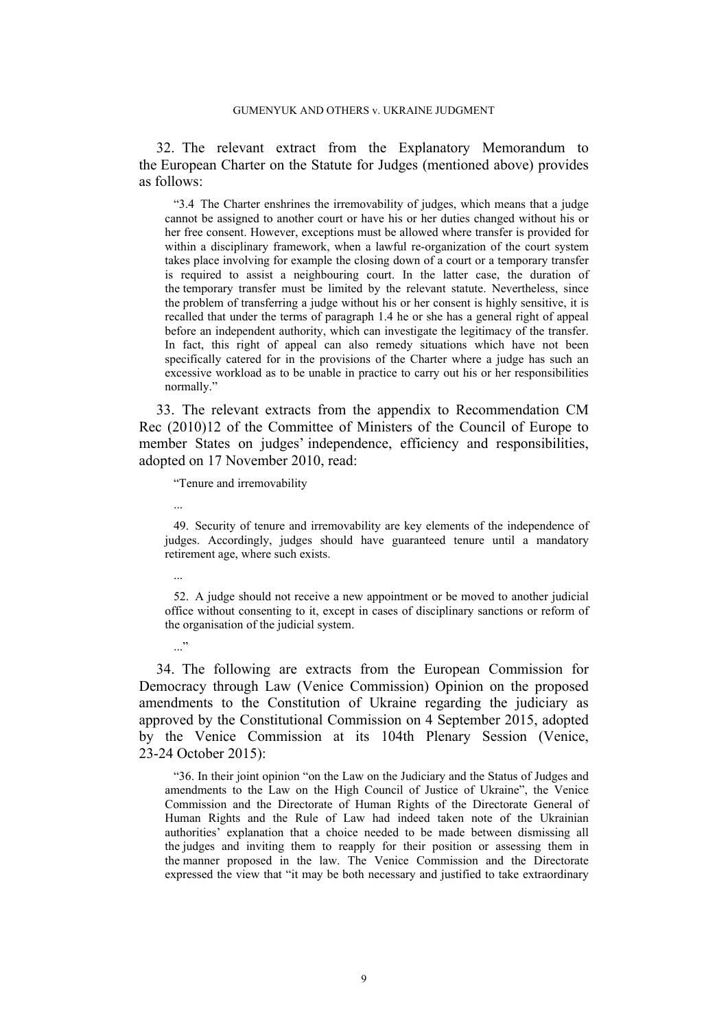32. The relevant extract from the Explanatory Memorandum to the European Charter on the Statute for Judges (mentioned above) provides as follows:

"3.4 The Charter enshrines the irremovability of judges, which means that a judge cannot be assigned to another court or have his or her duties changed without his or her free consent. However, exceptions must be allowed where transfer is provided for within a disciplinary framework, when a lawful re-organization of the court system takes place involving for example the closing down of a court or a temporary transfer is required to assist a neighbouring court. In the latter case, the duration of the temporary transfer must be limited by the relevant statute. Nevertheless, since the problem of transferring a judge without his or her consent is highly sensitive, it is recalled that under the terms of paragraph 1.4 he or she has a general right of appeal before an independent authority, which can investigate the legitimacy of the transfer. In fact, this right of appeal can also remedy situations which have not been specifically catered for in the provisions of the Charter where a judge has such an excessive workload as to be unable in practice to carry out his or her responsibilities normally."

<span id="page-10-1"></span>33. The relevant extracts from the appendix to Recommendation CM Rec (2010)12 of the Committee of Ministers of the Council of Europe to member States on judges' independence, efficiency and responsibilities, adopted on 17 November 2010, read:

"Tenure and irremovability

...

49. Security of tenure and irremovability are key elements of the independence of judges. Accordingly, judges should have guaranteed tenure until a mandatory retirement age, where such exists.

...

 $\cdot$ ..."

52. A judge should not receive a new appointment or be moved to another judicial office without consenting to it, except in cases of disciplinary sanctions or reform of the organisation of the judicial system.

<span id="page-10-0"></span>34. The following are extracts from the European Commission for Democracy through Law (Venice Commission) Opinion on the proposed amendments to the Constitution of Ukraine regarding the judiciary as approved by the Constitutional Commission on 4 September 2015, adopted by the Venice Commission at its 104th Plenary Session (Venice, 23-24 October 2015):

"36. In their joint opinion "on the Law on the Judiciary and the Status of Judges and amendments to the Law on the High Council of Justice of Ukraine", the Venice Commission and the Directorate of Human Rights of the Directorate General of Human Rights and the Rule of Law had indeed taken note of the Ukrainian authorities' explanation that a choice needed to be made between dismissing all the judges and inviting them to reapply for their position or assessing them in the manner proposed in the law. The Venice Commission and the Directorate expressed the view that "it may be both necessary and justified to take extraordinary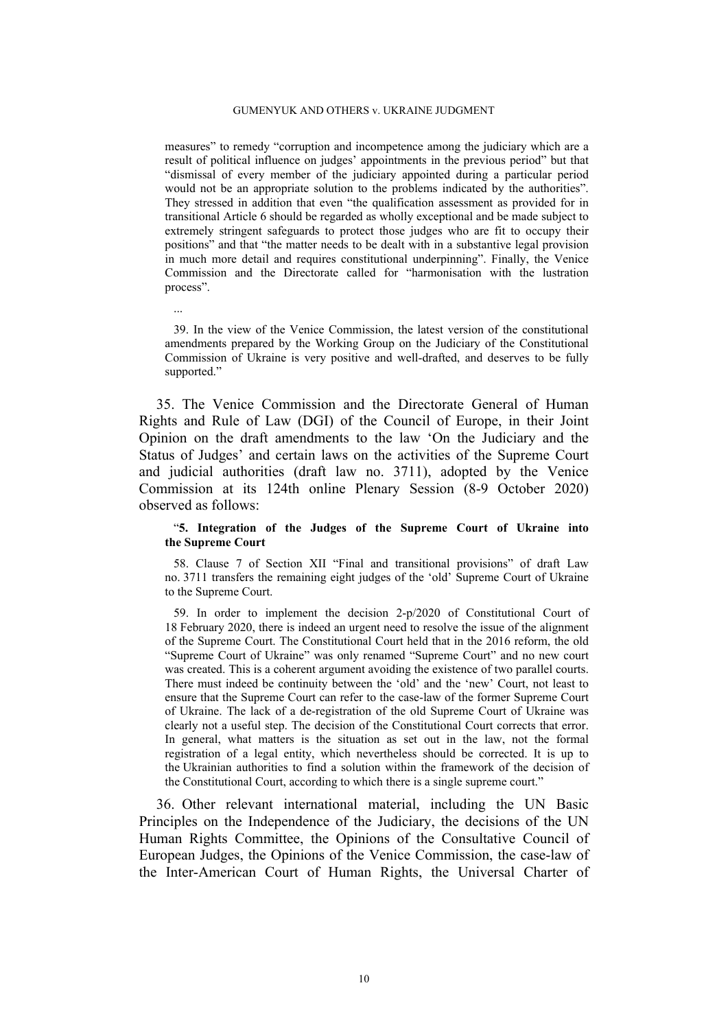measures" to remedy "corruption and incompetence among the judiciary which are a result of political influence on judges' appointments in the previous period" but that "dismissal of every member of the judiciary appointed during a particular period would not be an appropriate solution to the problems indicated by the authorities". They stressed in addition that even "the qualification assessment as provided for in transitional Article 6 should be regarded as wholly exceptional and be made subject to extremely stringent safeguards to protect those judges who are fit to occupy their positions" and that "the matter needs to be dealt with in a substantive legal provision in much more detail and requires constitutional underpinning". Finally, the Venice Commission and the Directorate called for "harmonisation with the lustration process".

39. In the view of the Venice Commission, the latest version of the constitutional amendments prepared by the Working Group on the Judiciary of the Constitutional Commission of Ukraine is very positive and well-drafted, and deserves to be fully supported."

...

<span id="page-11-0"></span>35. The Venice Commission and the Directorate General of Human Rights and Rule of Law (DGI) of the Council of Europe, in their Joint Opinion on the draft amendments to the law 'On the Judiciary and the Status of Judges' and certain laws on the activities of the Supreme Court and judicial authorities (draft law no. 3711), adopted by the Venice Commission at its 124th online Plenary Session (8-9 October 2020) observed as follows:

#### "**5. Integration of the Judges of the Supreme Court of Ukraine into the Supreme Court**

58. Clause 7 of Section XII "Final and transitional provisions" of draft Law no. 3711 transfers the remaining eight judges of the 'old' Supreme Court of Ukraine to the Supreme Court.

59. In order to implement the decision 2-p/2020 of Constitutional Court of 18 February 2020, there is indeed an urgent need to resolve the issue of the alignment of the Supreme Court. The Constitutional Court held that in the 2016 reform, the old "Supreme Court of Ukraine" was only renamed "Supreme Court" and no new court was created. This is a coherent argument avoiding the existence of two parallel courts. There must indeed be continuity between the 'old' and the 'new' Court, not least to ensure that the Supreme Court can refer to the case-law of the former Supreme Court of Ukraine. The lack of a de-registration of the old Supreme Court of Ukraine was clearly not a useful step. The decision of the Constitutional Court corrects that error. In general, what matters is the situation as set out in the law, not the formal registration of a legal entity, which nevertheless should be corrected. It is up to the Ukrainian authorities to find a solution within the framework of the decision of the Constitutional Court, according to which there is a single supreme court."

36. Other relevant international material, including the UN Basic Principles on the Independence of the Judiciary, the decisions of the UN Human Rights Committee, the Opinions of the Consultative Council of European Judges, the Opinions of the Venice Commission, the case-law of the Inter-American Court of Human Rights, the Universal Charter of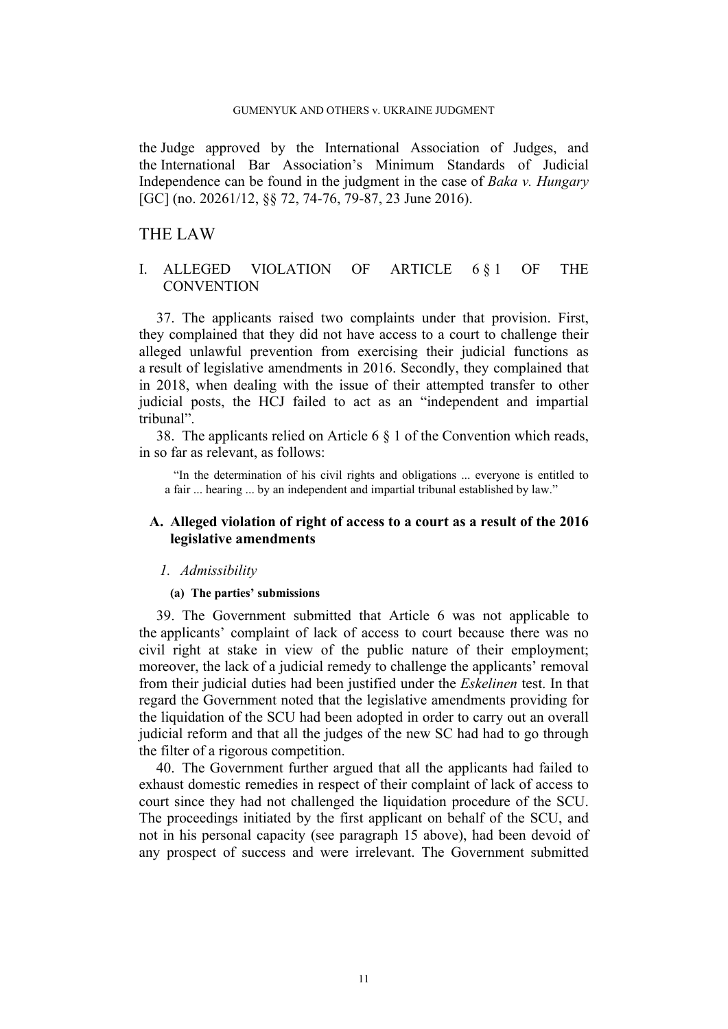the Judge approved by the International Association of Judges, and the International Bar Association's Minimum Standards of Judicial Independence can be found in the judgment in the case of *Baka v. Hungary* [GC] (no. 20261/12, §§ 72, 74-76, 79-87, 23 June 2016).

## THE LAW

## I. ALLEGED VIOLATION OF ARTICLE 6 § 1 OF THE **CONVENTION**

37. The applicants raised two complaints under that provision. First, they complained that they did not have access to a court to challenge their alleged unlawful prevention from exercising their judicial functions as a result of legislative amendments in 2016. Secondly, they complained that in 2018, when dealing with the issue of their attempted transfer to other judicial posts, the HCJ failed to act as an "independent and impartial tribunal".

38. The applicants relied on Article 6 § 1 of the Convention which reads, in so far as relevant, as follows:

"In the determination of his civil rights and obligations ... everyone is entitled to a fair ... hearing ... by an independent and impartial tribunal established by law."

## **A. Alleged violation of right of access to a court as a result of the 2016 legislative amendments**

#### *1. Admissibility*

#### **(a) The parties' submissions**

39. The Government submitted that Article 6 was not applicable to the applicants' complaint of lack of access to court because there was no civil right at stake in view of the public nature of their employment; moreover, the lack of a judicial remedy to challenge the applicants' removal from their judicial duties had been justified under the *Eskelinen* test. In that regard the Government noted that the legislative amendments providing for the liquidation of the SCU had been adopted in order to carry out an overall judicial reform and that all the judges of the new SC had had to go through the filter of a rigorous competition.

<span id="page-12-0"></span>40. The Government further argued that all the applicants had failed to exhaust domestic remedies in respect of their complaint of lack of access to court since they had not challenged the liquidation procedure of the SCU. The proceedings initiated by the first applicant on behalf of the SCU, and not in his personal capacity (see paragraph [15](#page-4-0) above), had been devoid of any prospect of success and were irrelevant. The Government submitted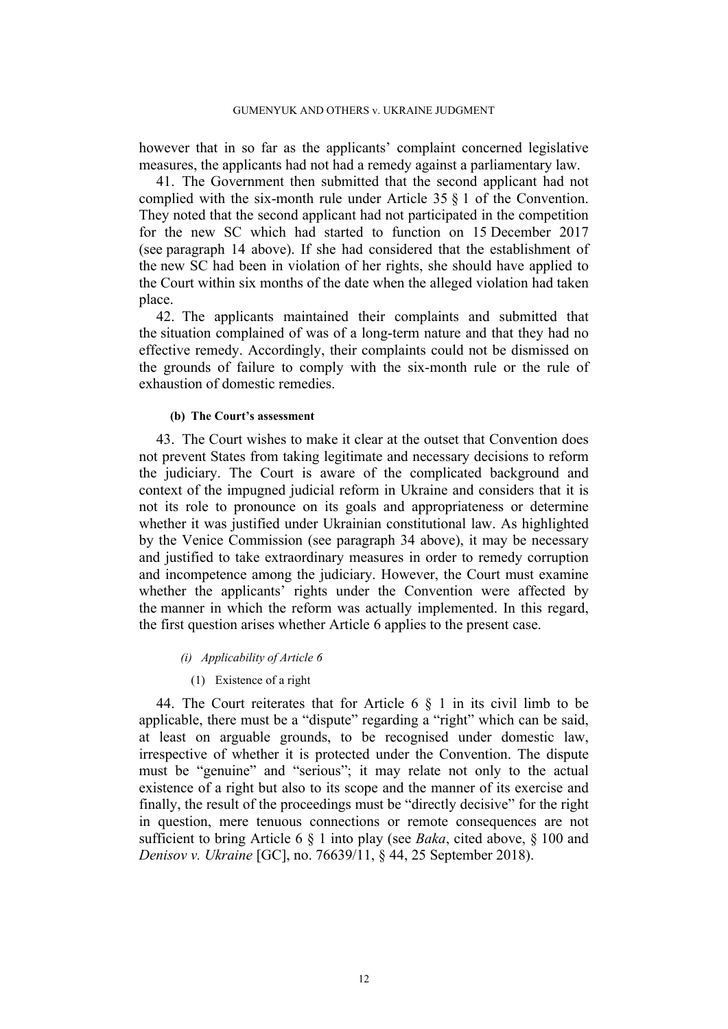however that in so far as the applicants' complaint concerned legislative measures, the applicants had not had a remedy against a parliamentary law.

41. The Government then submitted that the second applicant had not complied with the six-month rule under Article 35 § 1 of the Convention. They noted that the second applicant had not participated in the competition for the new SC which had started to function on 15 December 2017 (see paragraph [14](#page-4-1) above). If she had considered that the establishment of the new SC had been in violation of her rights, she should have applied to the Court within six months of the date when the alleged violation had taken place.

42. The applicants maintained their complaints and submitted that the situation complained of was of a long-term nature and that they had no effective remedy. Accordingly, their complaints could not be dismissed on the grounds of failure to comply with the six-month rule or the rule of exhaustion of domestic remedies.

#### **(b) The Court's assessment**

43. The Court wishes to make it clear at the outset that Convention does not prevent States from taking legitimate and necessary decisions to reform the judiciary. The Court is aware of the complicated background and context of the impugned judicial reform in Ukraine and considers that it is not its role to pronounce on its goals and appropriateness or determine whether it was justified under Ukrainian constitutional law. As highlighted by the Venice Commission (see paragraph [34](#page-10-0) above), it may be necessary and justified to take extraordinary measures in order to remedy corruption and incompetence among the judiciary. However, the Court must examine whether the applicants' rights under the Convention were affected by the manner in which the reform was actually implemented. In this regard, the first question arises whether Article 6 applies to the present case.

#### *(i) Applicability of Article 6*

#### (1) Existence of a right

44. The Court reiterates that for Article 6 § 1 in its civil limb to be applicable, there must be a "dispute" regarding a "right" which can be said, at least on arguable grounds, to be recognised under domestic law, irrespective of whether it is protected under the Convention. The dispute must be "genuine" and "serious"; it may relate not only to the actual existence of a right but also to its scope and the manner of its exercise and finally, the result of the proceedings must be "directly decisive" for the right in question, mere tenuous connections or remote consequences are not sufficient to bring Article 6 § 1 into play (see *Baka*, cited above, § 100 and *Denisov v. Ukraine* [GC], no. 76639/11, § 44, 25 September 2018).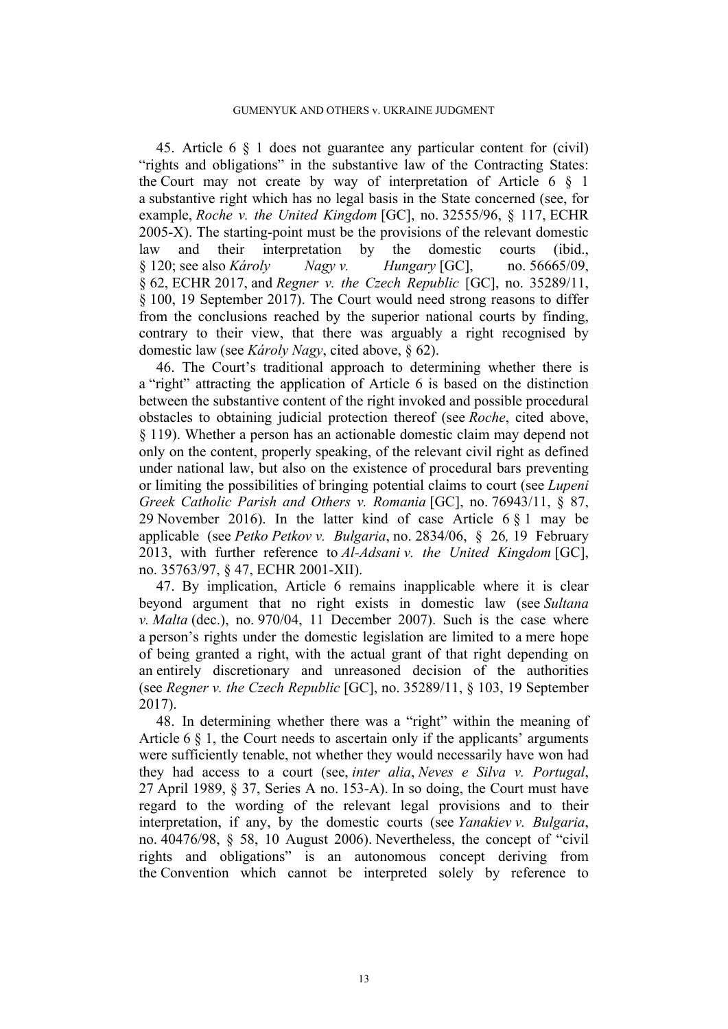45. Article 6 § 1 does not guarantee any particular content for (civil) "rights and obligations" in the substantive law of the Contracting States: the Court may not create by way of interpretation of Article 6  $\S$  1 a substantive right which has no legal basis in the State concerned (see, for example, *Roche v. the United Kingdom* [GC], no. 32555/96, § 117, ECHR 2005-X). The starting-point must be the provisions of the relevant domestic law and their interpretation by the domestic courts (ibid., § 120; see also *Károly Nagy v. Hungary* [GC], no. 56665/09, § 62, ECHR 2017, and *Regner v. the Czech Republic* [GC], no. 35289/11, § 100, 19 September 2017). The Court would need strong reasons to differ from the conclusions reached by the superior national courts by finding, contrary to their view, that there was arguably a right recognised by domestic law (see *Károly Nagy*, cited above, § 62).

46. The Court's traditional approach to determining whether there is a "right" attracting the application of Article 6 is based on the distinction between the substantive content of the right invoked and possible procedural obstacles to obtaining judicial protection thereof (see *Roche*, cited above, § 119). Whether a person has an actionable domestic claim may depend not only on the content, properly speaking, of the relevant civil right as defined under national law, but also on the existence of procedural bars preventing or limiting the possibilities of bringing potential claims to court (see *Lupeni Greek Catholic Parish and Others v. Romania* [GC], no. 76943/11, § 87, 29 November 2016). In the latter kind of case Article 6 § 1 may be applicable (see *Petko Petkov v. Bulgaria*, no. 2834/06, § 26*,* 19 February 2013, with further reference to *Al-Adsani v. the United Kingdom* [GC], no. 35763/97, § 47, ECHR 2001-XII).

47. By implication, Article 6 remains inapplicable where it is clear beyond argument that no right exists in domestic law (see *Sultana v. Malta* (dec.), no. 970/04, 11 December 2007). Such is the case where a person's rights under the domestic legislation are limited to a mere hope of being granted a right, with the actual grant of that right depending on an entirely discretionary and unreasoned decision of the authorities (see *Regner v. the Czech Republic* [GC], no. 35289/11, § 103, 19 September 2017).

48. In determining whether there was a "right" within the meaning of Article 6 § 1, the Court needs to ascertain only if the applicants' arguments were sufficiently tenable, not whether they would necessarily have won had they had access to a court (see, *inter alia*, *Neves e Silva v. Portugal*, 27 April 1989, § 37, Series A no. 153-A). In so doing, the Court must have regard to the wording of the relevant legal provisions and to their interpretation, if any, by the domestic courts (see *Yanakiev v. Bulgaria*, no. 40476/98, § 58, 10 August 2006). Nevertheless, the concept of "civil rights and obligations" is an autonomous concept deriving from the Convention which cannot be interpreted solely by reference to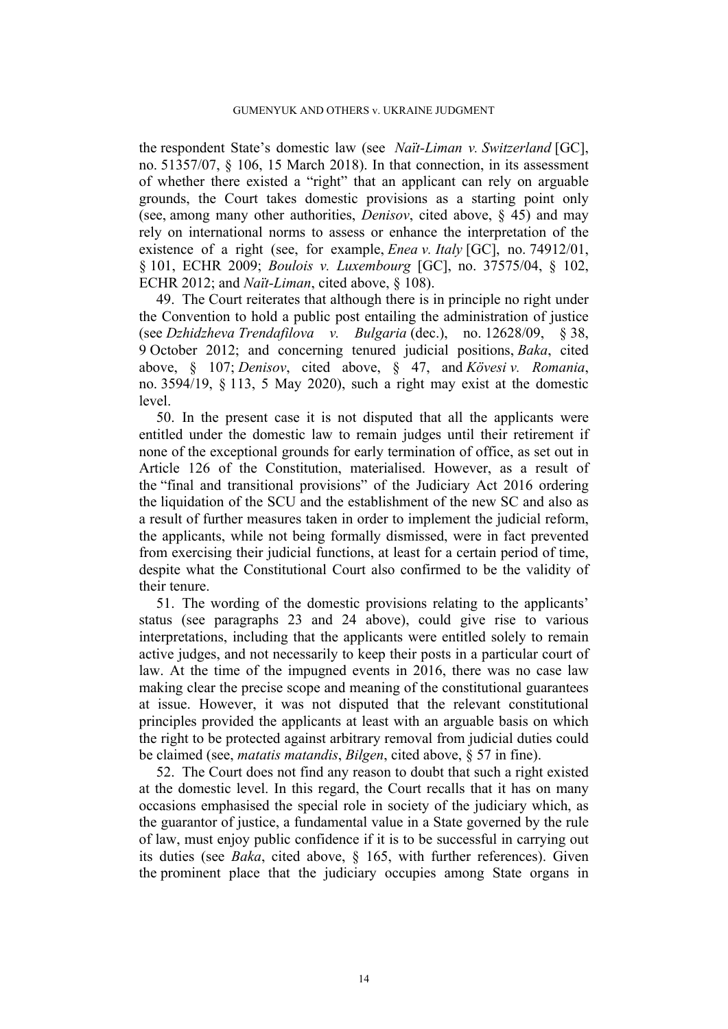the respondent State's domestic law (see *Naït-Liman v. Switzerland* [GC], no. 51357/07, § 106, 15 March 2018). In that connection, in its assessment of whether there existed a "right" that an applicant can rely on arguable grounds, the Court takes domestic provisions as a starting point only (see, among many other authorities, *Denisov*, cited above, § 45) and may rely on international norms to assess or enhance the interpretation of the existence of a right (see, for example, *Enea v. Italy* [GC], no. 74912/01, § 101, ECHR 2009; *Boulois v. Luxembourg* [GC], no. 37575/04, § 102, ECHR 2012; and *Naït-Liman*, cited above, § 108).

49. The Court reiterates that although there is in principle no right under the Convention to hold a public post entailing the administration of justice (see *Dzhidzheva Trendafilova v. Bulgaria* (dec.), no. 12628/09, § 38, 9 October 2012; and concerning tenured judicial positions, *Baka*, cited above, § 107; *Denisov*, cited above, § 47, and *Kövesi v. Romania*, no. 3594/19, § 113, 5 May 2020), such a right may exist at the domestic level.

50. In the present case it is not disputed that all the applicants were entitled under the domestic law to remain judges until their retirement if none of the exceptional grounds for early termination of office, as set out in Article 126 of the Constitution, materialised. However, as a result of the "final and transitional provisions" of the Judiciary Act 2016 ordering the liquidation of the SCU and the establishment of the new SC and also as a result of further measures taken in order to implement the judicial reform, the applicants, while not being formally dismissed, were in fact prevented from exercising their judicial functions, at least for a certain period of time, despite what the Constitutional Court also confirmed to be the validity of their tenure.

51. The wording of the domestic provisions relating to the applicants' status (see paragraphs [23](#page-7-0) and [24](#page-7-1) above), could give rise to various interpretations, including that the applicants were entitled solely to remain active judges, and not necessarily to keep their posts in a particular court of law. At the time of the impugned events in 2016, there was no case law making clear the precise scope and meaning of the constitutional guarantees at issue. However, it was not disputed that the relevant constitutional principles provided the applicants at least with an arguable basis on which the right to be protected against arbitrary removal from judicial duties could be claimed (see, *matatis matandis*, *Bilgen*, cited above, § 57 in fine).

<span id="page-15-0"></span>52. The Court does not find any reason to doubt that such a right existed at the domestic level. In this regard, the Court recalls that it has on many occasions emphasised the special role in society of the judiciary which, as the guarantor of justice, a fundamental value in a State governed by the rule of law, must enjoy public confidence if it is to be successful in carrying out its duties (see *Baka*, cited above, § 165, with further references). Given the prominent place that the judiciary occupies among State organs in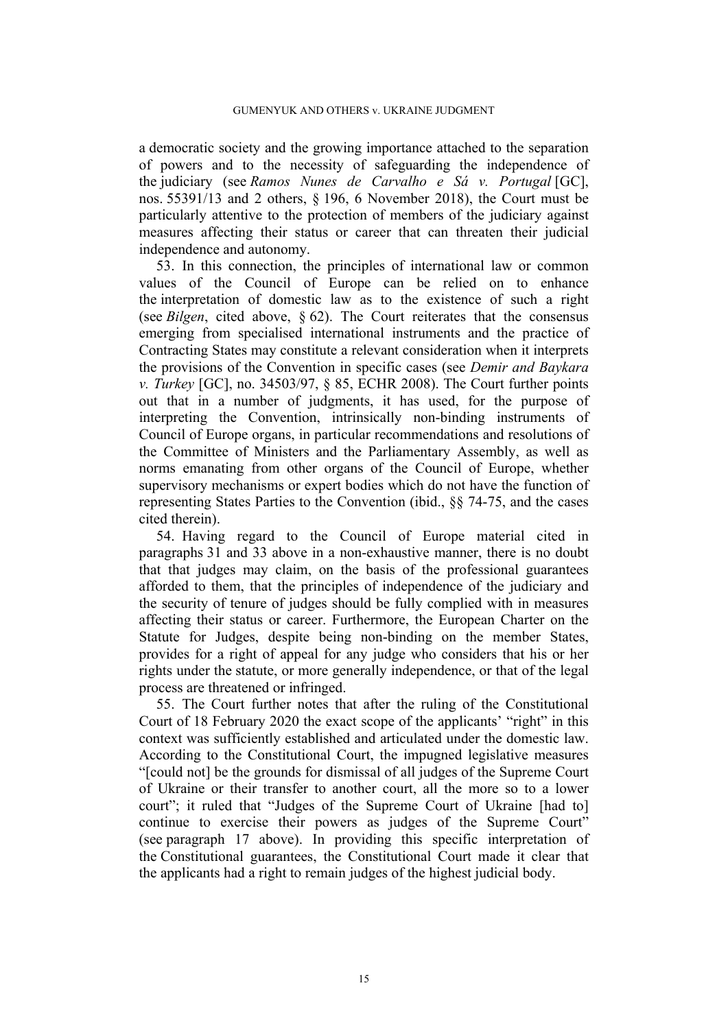a democratic society and the growing importance attached to the separation of powers and to the necessity of safeguarding the independence of the judiciary (see *Ramos Nunes de Carvalho e Sá v. Portugal* [GC], nos. 55391/13 and 2 others, § 196, 6 November 2018), the Court must be particularly attentive to the protection of members of the judiciary against measures affecting their status or career that can threaten their judicial independence and autonomy.

53. In this connection, the principles of international law or common values of the Council of Europe can be relied on to enhance the interpretation of domestic law as to the existence of such a right (see *Bilgen*, cited above, § 62). The Court reiterates that the consensus emerging from specialised international instruments and the practice of Contracting States may constitute a relevant consideration when it interprets the provisions of the Convention in specific cases (see *Demir and Baykara v. Turkey* [GC], no. 34503/97, § 85, ECHR 2008). The Court further points out that in a number of judgments, it has used, for the purpose of interpreting the Convention, intrinsically non-binding instruments of Council of Europe organs, in particular recommendations and resolutions of the Committee of Ministers and the Parliamentary Assembly, as well as norms emanating from other organs of the Council of Europe, whether supervisory mechanisms or expert bodies which do not have the function of representing States Parties to the Convention (ibid., §§ 74-75, and the cases cited therein).

54. Having regard to the Council of Europe material cited in paragraphs [31](#page-9-0) and [33](#page-10-1) above in a non-exhaustive manner, there is no doubt that that judges may claim, on the basis of the professional guarantees afforded to them, that the principles of independence of the judiciary and the security of tenure of judges should be fully complied with in measures affecting their status or career. Furthermore, the European Charter on the Statute for Judges, despite being non-binding on the member States, provides for a right of appeal for any judge who considers that his or her rights under the statute, or more generally independence, or that of the legal process are threatened or infringed.

55. The Court further notes that after the ruling of the Constitutional Court of 18 February 2020 the exact scope of the applicants' "right" in this context was sufficiently established and articulated under the domestic law. According to the Constitutional Court, the impugned legislative measures "[could not] be the grounds for dismissal of all judges of the Supreme Court of Ukraine or their transfer to another court, all the more so to a lower court"; it ruled that "Judges of the Supreme Court of Ukraine [had to] continue to exercise their powers as judges of the Supreme Court" (see paragraph [17](#page-5-1) above). In providing this specific interpretation of the Constitutional guarantees, the Constitutional Court made it clear that the applicants had a right to remain judges of the highest judicial body.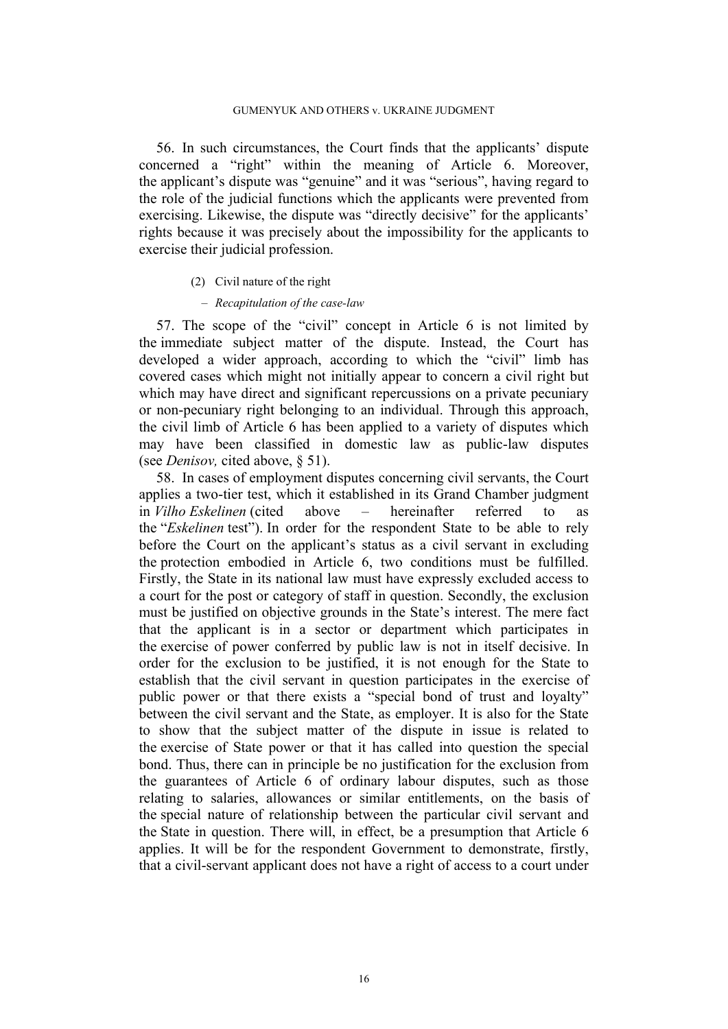56. In such circumstances, the Court finds that the applicants' dispute concerned a "right" within the meaning of Article 6. Moreover, the applicant's dispute was "genuine" and it was "serious", having regard to the role of the judicial functions which the applicants were prevented from exercising. Likewise, the dispute was "directly decisive" for the applicants' rights because it was precisely about the impossibility for the applicants to exercise their judicial profession.

#### (2) Civil nature of the right

#### ‒ *Recapitulation of the case-law*

57. The scope of the "civil" concept in Article 6 is not limited by the immediate subject matter of the dispute. Instead, the Court has developed a wider approach, according to which the "civil" limb has covered cases which might not initially appear to concern a civil right but which may have direct and significant repercussions on a private pecuniary or non-pecuniary right belonging to an individual. Through this approach, the civil limb of Article 6 has been applied to a variety of disputes which may have been classified in domestic law as public-law disputes (see *Denisov,* cited above, § 51).

58. In cases of employment disputes concerning civil servants, the Court applies a two-tier test, which it established in its Grand Chamber judgment in *Vilho Eskelinen* (cited above – hereinafter referred to as the "*Eskelinen* test"). In order for the respondent State to be able to rely before the Court on the applicant's status as a civil servant in excluding the protection embodied in Article 6, two conditions must be fulfilled. Firstly, the State in its national law must have expressly excluded access to a court for the post or category of staff in question. Secondly, the exclusion must be justified on objective grounds in the State's interest. The mere fact that the applicant is in a sector or department which participates in the exercise of power conferred by public law is not in itself decisive. In order for the exclusion to be justified, it is not enough for the State to establish that the civil servant in question participates in the exercise of public power or that there exists a "special bond of trust and loyalty" between the civil servant and the State, as employer. It is also for the State to show that the subject matter of the dispute in issue is related to the exercise of State power or that it has called into question the special bond. Thus, there can in principle be no justification for the exclusion from the guarantees of Article 6 of ordinary labour disputes, such as those relating to salaries, allowances or similar entitlements, on the basis of the special nature of relationship between the particular civil servant and the State in question. There will, in effect, be a presumption that Article 6 applies. It will be for the respondent Government to demonstrate, firstly, that a civil-servant applicant does not have a right of access to a court under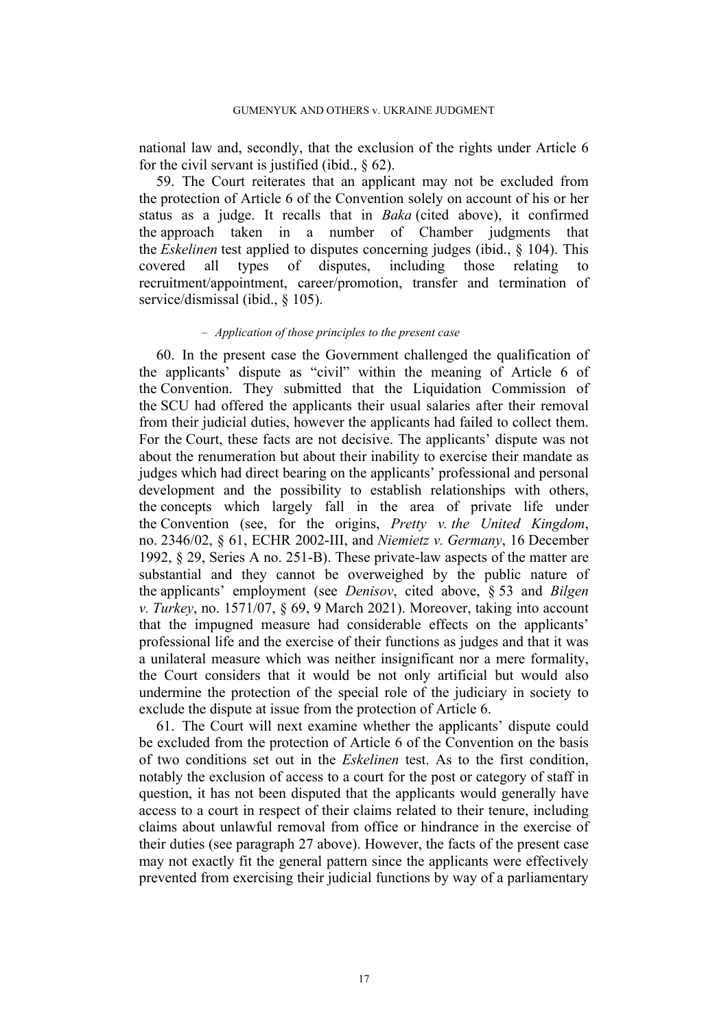national law and, secondly, that the exclusion of the rights under Article 6 for the civil servant is justified (ibid.,  $\frac{62}{2}$ ).

59. The Court reiterates that an applicant may not be excluded from the protection of Article 6 of the Convention solely on account of his or her status as a judge. It recalls that in *Baka* (cited above), it confirmed the approach taken in a number of Chamber judgments that the *Eskelinen* test applied to disputes concerning judges (ibid., § 104). This covered all types of disputes, including those relating to recruitment/appointment, career/promotion, transfer and termination of service/dismissal (ibid., § 105).

#### ‒ *Application of those principles to the present case*

60. In the present case the Government challenged the qualification of the applicants' dispute as "civil" within the meaning of Article 6 of the Convention. They submitted that the Liquidation Commission of the SCU had offered the applicants their usual salaries after their removal from their judicial duties, however the applicants had failed to collect them. For the Court, these facts are not decisive. The applicants' dispute was not about the renumeration but about their inability to exercise their mandate as judges which had direct bearing on the applicants' professional and personal development and the possibility to establish relationships with others, the concepts which largely fall in the area of private life under the Convention (see, for the origins, *Pretty v. the United Kingdom*, no. 2346/02, § 61, ECHR 2002-III, and *Niemietz v. Germany*, 16 December 1992, § 29, Series A no. 251-B). These private-law aspects of the matter are substantial and they cannot be overweighed by the public nature of the applicants' employment (see *Denisov*, cited above, § 53 and *Bilgen v. Turkey*, no. 1571/07, § 69, 9 March 2021). Moreover, taking into account that the impugned measure had considerable effects on the applicants' professional life and the exercise of their functions as judges and that it was a unilateral measure which was neither insignificant nor a mere formality, the Court considers that it would be not only artificial but would also undermine the protection of the special role of the judiciary in society to exclude the dispute at issue from the protection of Article 6.

61. The Court will next examine whether the applicants' dispute could be excluded from the protection of Article 6 of the Convention on the basis of two conditions set out in the *Eskelinen* test. As to the first condition, notably the exclusion of access to a court for the post or category of staff in question, it has not been disputed that the applicants would generally have access to a court in respect of their claims related to their tenure, including claims about unlawful removal from office or hindrance in the exercise of their duties (see paragraph [27](#page-8-0) above). However, the facts of the present case may not exactly fit the general pattern since the applicants were effectively prevented from exercising their judicial functions by way of a parliamentary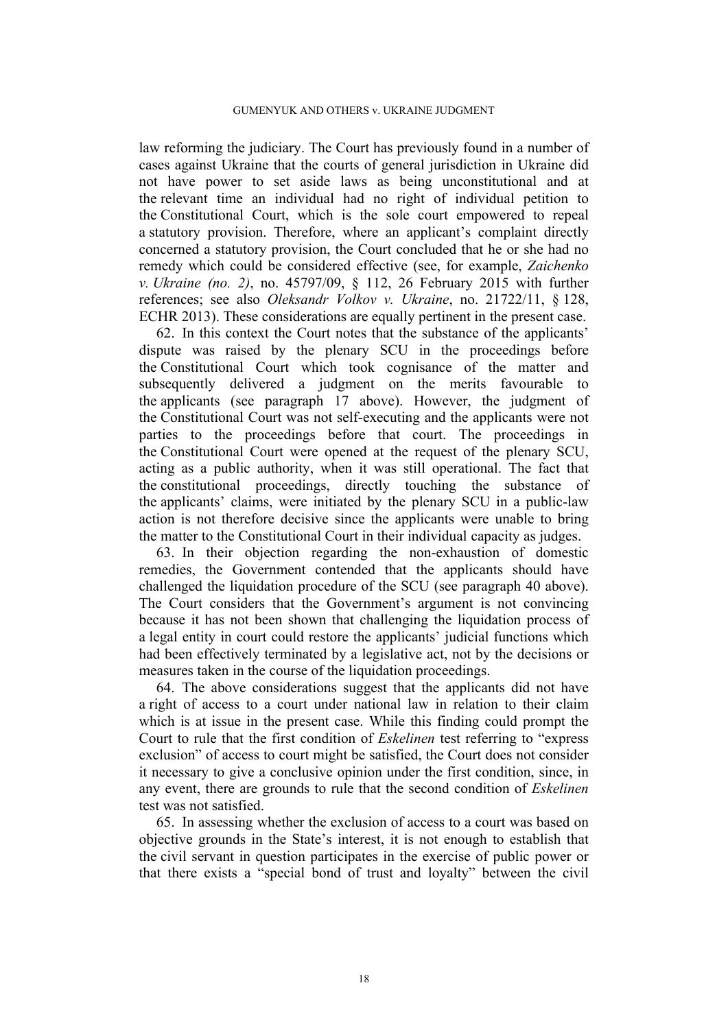law reforming the judiciary. The Court has previously found in a number of cases against Ukraine that the courts of general jurisdiction in Ukraine did not have power to set aside laws as being unconstitutional and at the relevant time an individual had no right of individual petition to the Constitutional Court, which is the sole court empowered to repeal a statutory provision. Therefore, where an applicant's complaint directly concerned a statutory provision, the Court concluded that he or she had no remedy which could be considered effective (see, for example, *Zaichenko v. Ukraine (no. 2)*, no. 45797/09, § 112, 26 February 2015 with further references; see also *Oleksandr Volkov v. Ukraine*, no. 21722/11, § 128, ECHR 2013). These considerations are equally pertinent in the present case.

62. In this context the Court notes that the substance of the applicants' dispute was raised by the plenary SCU in the proceedings before the Constitutional Court which took cognisance of the matter and subsequently delivered a judgment on the merits favourable to the applicants (see paragraph [17](#page-5-1) above). However, the judgment of the Constitutional Court was not self-executing and the applicants were not parties to the proceedings before that court. The proceedings in the Constitutional Court were opened at the request of the plenary SCU, acting as a public authority, when it was still operational. The fact that the constitutional proceedings, directly touching the substance of the applicants' claims, were initiated by the plenary SCU in a public-law action is not therefore decisive since the applicants were unable to bring the matter to the Constitutional Court in their individual capacity as judges.

63. In their objection regarding the non-exhaustion of domestic remedies, the Government contended that the applicants should have challenged the liquidation procedure of the SCU (see paragraph [40](#page-12-0) above). The Court considers that the Government's argument is not convincing because it has not been shown that challenging the liquidation process of a legal entity in court could restore the applicants' judicial functions which had been effectively terminated by a legislative act, not by the decisions or measures taken in the course of the liquidation proceedings.

64. The above considerations suggest that the applicants did not have a right of access to a court under national law in relation to their claim which is at issue in the present case. While this finding could prompt the Court to rule that the first condition of *Eskelinen* test referring to "express exclusion" of access to court might be satisfied, the Court does not consider it necessary to give a conclusive opinion under the first condition, since, in any event, there are grounds to rule that the second condition of *Eskelinen* test was not satisfied.

65. In assessing whether the exclusion of access to a court was based on objective grounds in the State's interest, it is not enough to establish that the civil servant in question participates in the exercise of public power or that there exists a "special bond of trust and loyalty" between the civil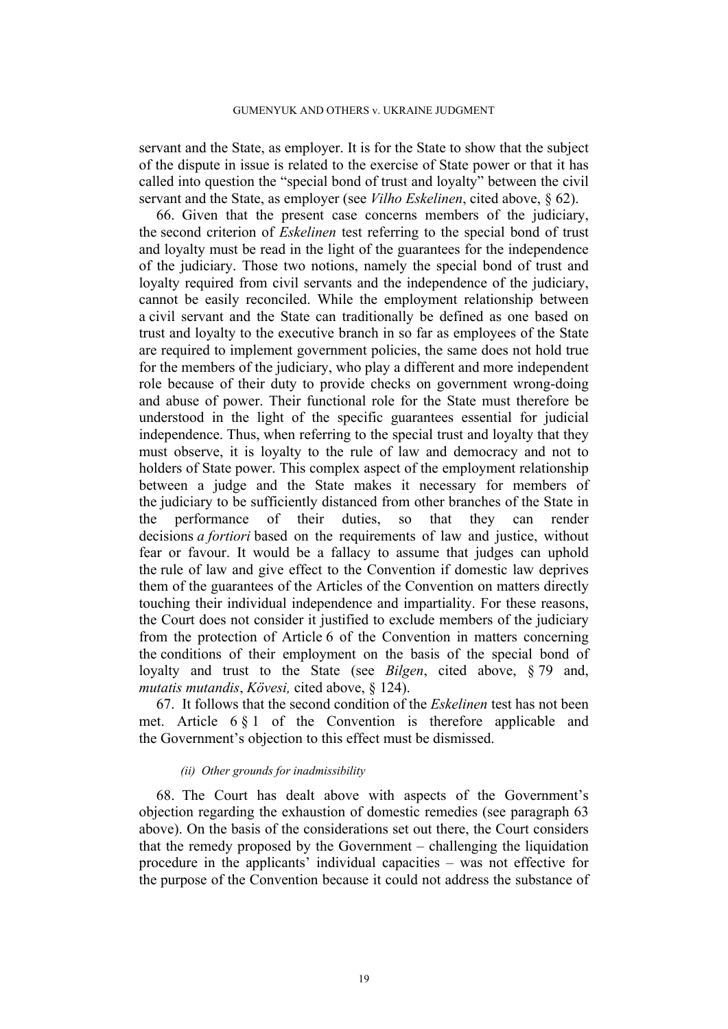#### GUMENYUK AND OTHERS v. UKRAINE JUDGMENT

servant and the State, as employer. It is for the State to show that the subject of the dispute in issue is related to the exercise of State power or that it has called into question the "special bond of trust and loyalty" between the civil servant and the State, as employer (see *Vilho Eskelinen*, cited above, § 62).

66. Given that the present case concerns members of the judiciary, the second criterion of *Eskelinen* test referring to the special bond of trust and loyalty must be read in the light of the guarantees for the independence of the judiciary. Those two notions, namely the special bond of trust and loyalty required from civil servants and the independence of the judiciary, cannot be easily reconciled. While the employment relationship between a civil servant and the State can traditionally be defined as one based on trust and loyalty to the executive branch in so far as employees of the State are required to implement government policies, the same does not hold true for the members of the judiciary, who play a different and more independent role because of their duty to provide checks on government wrong-doing and abuse of power. Their functional role for the State must therefore be understood in the light of the specific guarantees essential for judicial independence. Thus, when referring to the special trust and loyalty that they must observe, it is loyalty to the rule of law and democracy and not to holders of State power. This complex aspect of the employment relationship between a judge and the State makes it necessary for members of the judiciary to be sufficiently distanced from other branches of the State in the performance of their duties, so that they can render decisions *a fortiori* based on the requirements of law and justice, without fear or favour. It would be a fallacy to assume that judges can uphold the rule of law and give effect to the Convention if domestic law deprives them of the guarantees of the Articles of the Convention on matters directly touching their individual independence and impartiality. For these reasons, the Court does not consider it justified to exclude members of the judiciary from the protection of Article 6 of the Convention in matters concerning the conditions of their employment on the basis of the special bond of loyalty and trust to the State (see *Bilgen*, cited above, § 79 and, *mutatis mutandis*, *Kövesi,* cited above, § 124).

67. It follows that the second condition of the *Eskelinen* test has not been met. Article 6 § 1 of the Convention is therefore applicable and the Government's objection to this effect must be dismissed.

#### *(ii) Other grounds for inadmissibility*

68. The Court has dealt above with aspects of the Government's objection regarding the exhaustion of domestic remedies (see paragraph 63 above). On the basis of the considerations set out there, the Court considers that the remedy proposed by the Government – challenging the liquidation procedure in the applicants' individual capacities – was not effective for the purpose of the Convention because it could not address the substance of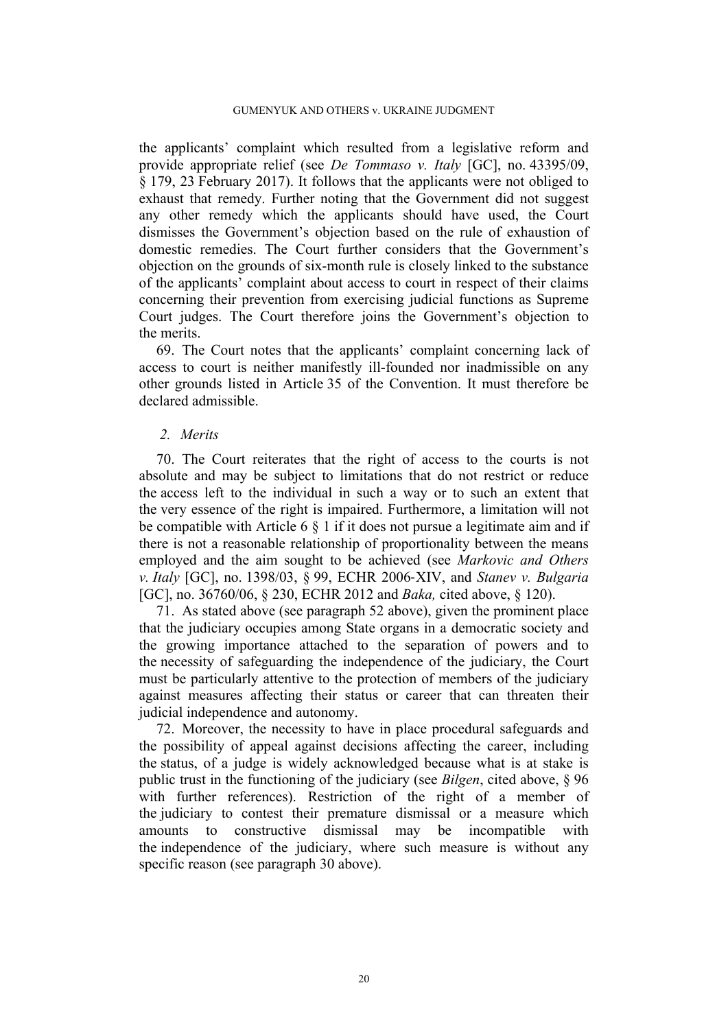the applicants' complaint which resulted from a legislative reform and provide appropriate relief (see *De Tommaso v. Italy* [GC], no. 43395/09, § 179, 23 February 2017). It follows that the applicants were not obliged to exhaust that remedy. Further noting that the Government did not suggest any other remedy which the applicants should have used, the Court dismisses the Government's objection based on the rule of exhaustion of domestic remedies. The Court further considers that the Government's objection on the grounds of six-month rule is closely linked to the substance of the applicants' complaint about access to court in respect of their claims concerning their prevention from exercising judicial functions as Supreme Court judges. The Court therefore joins the Government's objection to the merits.

69. The Court notes that the applicants' complaint concerning lack of access to court is neither manifestly ill-founded nor inadmissible on any other grounds listed in Article 35 of the Convention. It must therefore be declared admissible.

## *2. Merits*

70. The Court reiterates that the right of access to the courts is not absolute and may be subject to limitations that do not restrict or reduce the access left to the individual in such a way or to such an extent that the very essence of the right is impaired. Furthermore, a limitation will not be compatible with Article 6 § 1 if it does not pursue a legitimate aim and if there is not a reasonable relationship of proportionality between the means employed and the aim sought to be achieved (see *Markovic and Others v. Italy* [GC], no. 1398/03, § 99, ECHR 2006‑XIV, and *Stanev v. Bulgaria* [GC], no. 36760/06, § 230, ECHR 2012 and *Baka,* cited above, § 120).

71. As stated above (see paragraph [52](#page-15-0) above), given the prominent place that the judiciary occupies among State organs in a democratic society and the growing importance attached to the separation of powers and to the necessity of safeguarding the independence of the judiciary, the Court must be particularly attentive to the protection of members of the judiciary against measures affecting their status or career that can threaten their judicial independence and autonomy.

72. Moreover, the necessity to have in place procedural safeguards and the possibility of appeal against decisions affecting the career, including the status, of a judge is widely acknowledged because what is at stake is public trust in the functioning of the judiciary (see *Bilgen*, cited above, § 96 with further references). Restriction of the right of a member of the judiciary to contest their premature dismissal or a measure which amounts to constructive dismissal may be incompatible with the independence of the judiciary, where such measure is without any specific reason (see paragraph [30](#page-8-1) above).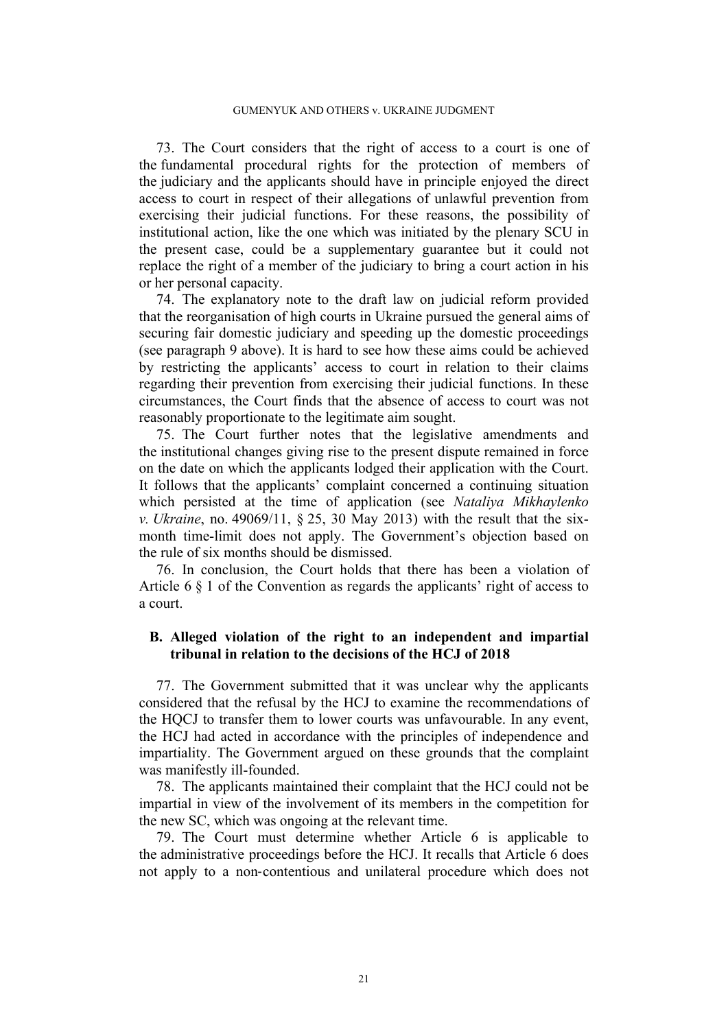73. The Court considers that the right of access to a court is one of the fundamental procedural rights for the protection of members of the judiciary and the applicants should have in principle enjoyed the direct access to court in respect of their allegations of unlawful prevention from exercising their judicial functions. For these reasons, the possibility of institutional action, like the one which was initiated by the plenary SCU in the present case, could be a supplementary guarantee but it could not replace the right of a member of the judiciary to bring a court action in his or her personal capacity.

74. The explanatory note to the draft law on judicial reform provided that the reorganisation of high courts in Ukraine pursued the general aims of securing fair domestic judiciary and speeding up the domestic proceedings (see paragraph [9](#page-3-0) above). It is hard to see how these aims could be achieved by restricting the applicants' access to court in relation to their claims regarding their prevention from exercising their judicial functions. In these circumstances, the Court finds that the absence of access to court was not reasonably proportionate to the legitimate aim sought.

75. The Court further notes that the legislative amendments and the institutional changes giving rise to the present dispute remained in force on the date on which the applicants lodged their application with the Court. It follows that the applicants' complaint concerned a continuing situation which persisted at the time of application (see *Nataliya Mikhaylenko v. Ukraine*, no. 49069/11, § 25, 30 May 2013) with the result that the sixmonth time-limit does not apply. The Government's objection based on the rule of six months should be dismissed.

76. In conclusion, the Court holds that there has been a violation of Article 6 § 1 of the Convention as regards the applicants' right of access to a court.

#### **B. Alleged violation of the right to an independent and impartial tribunal in relation to the decisions of the HCJ of 2018**

77. The Government submitted that it was unclear why the applicants considered that the refusal by the HCJ to examine the recommendations of the HQCJ to transfer them to lower courts was unfavourable. In any event, the HCJ had acted in accordance with the principles of independence and impartiality. The Government argued on these grounds that the complaint was manifestly ill-founded.

78. The applicants maintained their complaint that the HCJ could not be impartial in view of the involvement of its members in the competition for the new SC, which was ongoing at the relevant time.

79. The Court must determine whether Article 6 is applicable to the administrative proceedings before the HCJ. It recalls that Article 6 does not apply to a non‑contentious and unilateral procedure which does not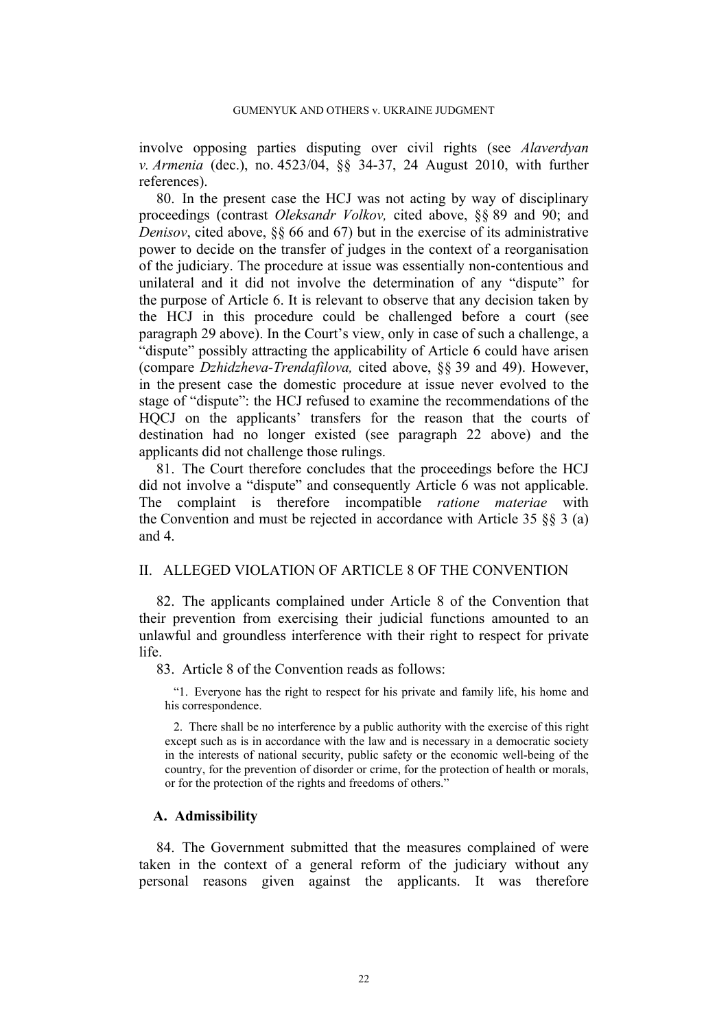involve opposing parties disputing over civil rights (see *Alaverdyan v. Armenia* (dec.), no. 4523/04, §§ 34-37, 24 August 2010, with further references).

80. In the present case the HCJ was not acting by way of disciplinary proceedings (contrast *Oleksandr Volkov,* cited above, §§ 89 and 90; and *Denisov*, cited above, §§ 66 and 67) but in the exercise of its administrative power to decide on the transfer of judges in the context of a reorganisation of the judiciary. The procedure at issue was essentially non‑contentious and unilateral and it did not involve the determination of any "dispute" for the purpose of Article 6. It is relevant to observe that any decision taken by the HCJ in this procedure could be challenged before a court (see paragraph [29](#page-8-2) above). In the Court's view, only in case of such a challenge, a "dispute" possibly attracting the applicability of Article 6 could have arisen (compare *Dzhidzheva-Trendafilova,* cited above, §§ 39 and 49). However, in the present case the domestic procedure at issue never evolved to the stage of "dispute": the HCJ refused to examine the recommendations of the HQCJ on the applicants' transfers for the reason that the courts of destination had no longer existed (see paragraph [22](#page-7-2) above) and the applicants did not challenge those rulings.

81. The Court therefore concludes that the proceedings before the HCJ did not involve a "dispute" and consequently Article 6 was not applicable. The complaint is therefore incompatible *ratione materiae* with the Convention and must be rejected in accordance with Article 35 §§ 3 (a) and 4.

# II. ALLEGED VIOLATION OF ARTICLE 8 OF THE CONVENTION

82. The applicants complained under Article 8 of the Convention that their prevention from exercising their judicial functions amounted to an unlawful and groundless interference with their right to respect for private life.

83. Article 8 of the Convention reads as follows:

"1. Everyone has the right to respect for his private and family life, his home and his correspondence.

2. There shall be no interference by a public authority with the exercise of this right except such as is in accordance with the law and is necessary in a democratic society in the interests of national security, public safety or the economic well-being of the country, for the prevention of disorder or crime, for the protection of health or morals, or for the protection of the rights and freedoms of others."

#### **A. Admissibility**

84. The Government submitted that the measures complained of were taken in the context of a general reform of the judiciary without any personal reasons given against the applicants. It was therefore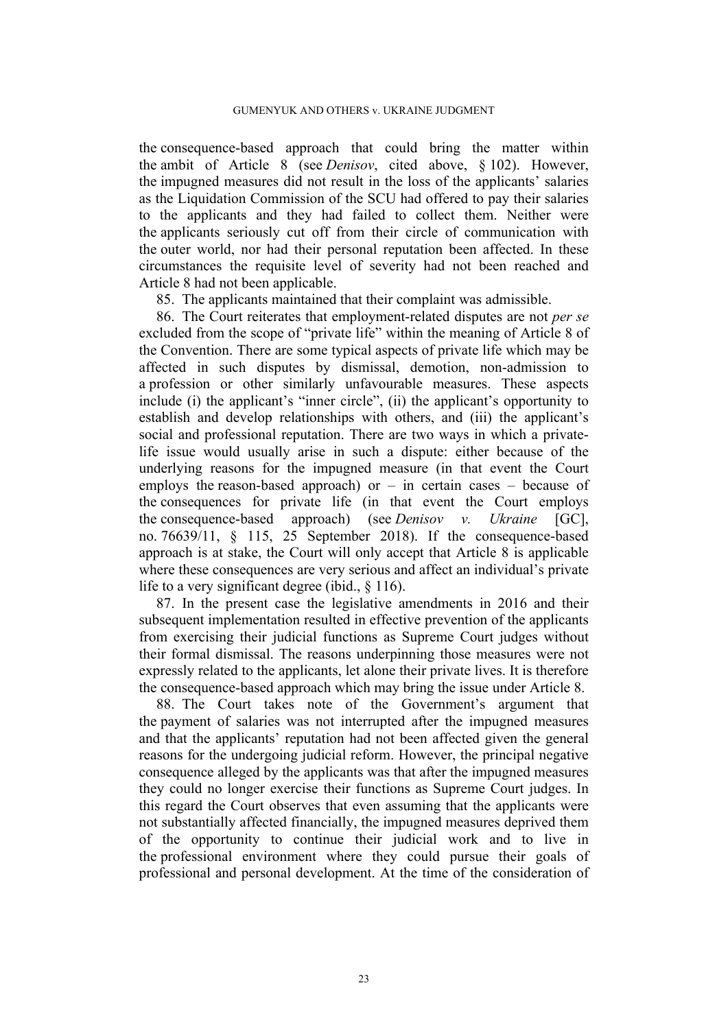the consequence-based approach that could bring the matter within the ambit of Article 8 (see *Denisov*, cited above, § 102). However, the impugned measures did not result in the loss of the applicants' salaries as the Liquidation Commission of the SCU had offered to pay their salaries to the applicants and they had failed to collect them. Neither were the applicants seriously cut off from their circle of communication with the outer world, nor had their personal reputation been affected. In these circumstances the requisite level of severity had not been reached and Article 8 had not been applicable.

85. The applicants maintained that their complaint was admissible.

86. The Court reiterates that employment-related disputes are not *per se* excluded from the scope of "private life" within the meaning of Article 8 of the Convention. There are some typical aspects of private life which may be affected in such disputes by dismissal, demotion, non-admission to a profession or other similarly unfavourable measures. These aspects include (i) the applicant's "inner circle", (ii) the applicant's opportunity to establish and develop relationships with others, and (iii) the applicant's social and professional reputation. There are two ways in which a privatelife issue would usually arise in such a dispute: either because of the underlying reasons for the impugned measure (in that event the Court employs the reason-based approach) or  $-$  in certain cases  $-$  because of the consequences for private life (in that event the Court employs the consequence-based approach) (see *Denisov v. Ukraine* [GC], no. 76639/11, § 115, 25 September 2018). If the consequence-based approach is at stake, the Court will only accept that Article 8 is applicable where these consequences are very serious and affect an individual's private life to a very significant degree (ibid., § 116).

87. In the present case the legislative amendments in 2016 and their subsequent implementation resulted in effective prevention of the applicants from exercising their judicial functions as Supreme Court judges without their formal dismissal. The reasons underpinning those measures were not expressly related to the applicants, let alone their private lives. It is therefore the consequence-based approach which may bring the issue under Article 8.

88. The Court takes note of the Government's argument that the payment of salaries was not interrupted after the impugned measures and that the applicants' reputation had not been affected given the general reasons for the undergoing judicial reform. However, the principal negative consequence alleged by the applicants was that after the impugned measures they could no longer exercise their functions as Supreme Court judges. In this regard the Court observes that even assuming that the applicants were not substantially affected financially, the impugned measures deprived them of the opportunity to continue their judicial work and to live in the professional environment where they could pursue their goals of professional and personal development. At the time of the consideration of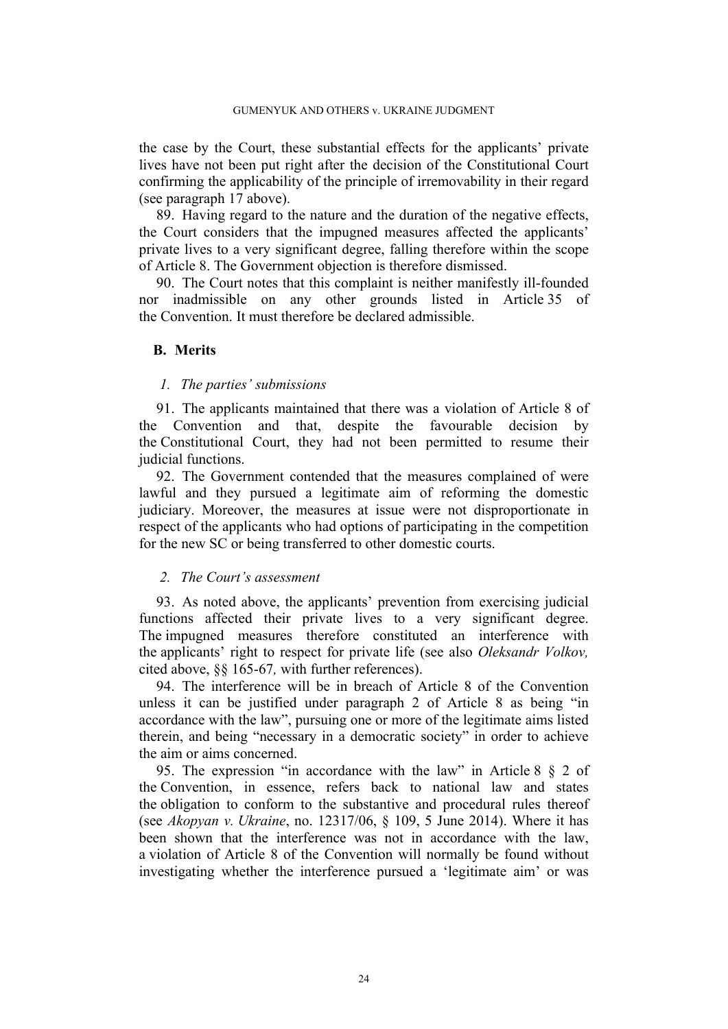the case by the Court, these substantial effects for the applicants' private lives have not been put right after the decision of the Constitutional Court confirming the applicability of the principle of irremovability in their regard (see paragraph [17](#page-5-1) above).

89. Having regard to the nature and the duration of the negative effects, the Court considers that the impugned measures affected the applicants' private lives to a very significant degree, falling therefore within the scope of Article 8. The Government objection is therefore dismissed.

90. The Court notes that this complaint is neither manifestly ill-founded nor inadmissible on any other grounds listed in Article 35 of the Convention. It must therefore be declared admissible.

## **B. Merits**

#### *1. The parties' submissions*

91. The applicants maintained that there was a violation of Article 8 of the Convention and that, despite the favourable decision by the Constitutional Court, they had not been permitted to resume their judicial functions.

92. The Government contended that the measures complained of were lawful and they pursued a legitimate aim of reforming the domestic judiciary. Moreover, the measures at issue were not disproportionate in respect of the applicants who had options of participating in the competition for the new SC or being transferred to other domestic courts.

#### *2. The Court's assessment*

93. As noted above, the applicants' prevention from exercising judicial functions affected their private lives to a very significant degree. The impugned measures therefore constituted an interference with the applicants' right to respect for private life (see also *Oleksandr Volkov,* cited above, §§ 165-67*,* with further references).

94. The interference will be in breach of Article 8 of the Convention unless it can be justified under paragraph 2 of Article 8 as being "in accordance with the law", pursuing one or more of the legitimate aims listed therein, and being "necessary in a democratic society" in order to achieve the aim or aims concerned.

95. The expression "in accordance with the law" in Article 8 § 2 of the Convention, in essence, refers back to national law and states the obligation to conform to the substantive and procedural rules thereof (see *Akopyan v. Ukraine*, no. 12317/06, § 109, 5 June 2014). Where it has been shown that the interference was not in accordance with the law, a violation of Article 8 of the Convention will normally be found without investigating whether the interference pursued a 'legitimate aim' or was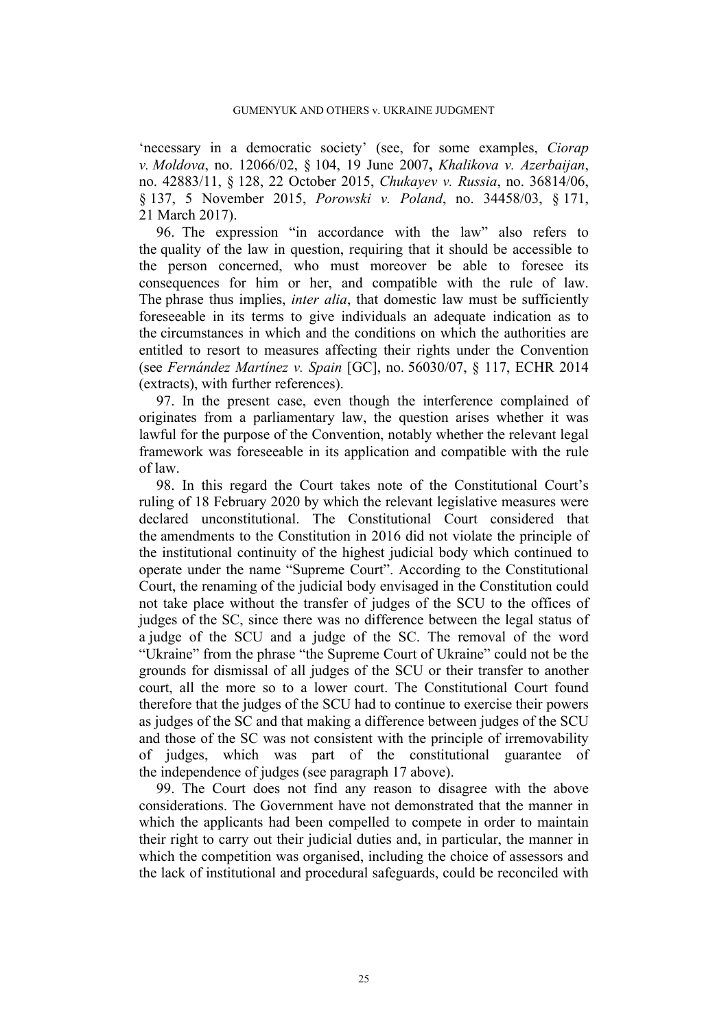'necessary in a democratic society' (see, for some examples, *Ciorap v. Moldova*, no. 12066/02, § 104, 19 June 2007**,** *Khalikova v. Azerbaijan*, no. 42883/11, § 128, 22 October 2015, *Chukayev v. Russia*, no. 36814/06, § 137, 5 November 2015, *Porowski v. Poland*, no. 34458/03, § 171, 21 March 2017).

96. The expression "in accordance with the law" also refers to the quality of the law in question, requiring that it should be accessible to the person concerned, who must moreover be able to foresee its consequences for him or her, and compatible with the rule of law. The phrase thus implies, *inter alia*, that domestic law must be sufficiently foreseeable in its terms to give individuals an adequate indication as to the circumstances in which and the conditions on which the authorities are entitled to resort to measures affecting their rights under the Convention (see *Fernández Martínez v. Spain* [GC], no. 56030/07, § 117, ECHR 2014 (extracts), with further references).

97. In the present case, even though the interference complained of originates from a parliamentary law, the question arises whether it was lawful for the purpose of the Convention, notably whether the relevant legal framework was foreseeable in its application and compatible with the rule of law.

98. In this regard the Court takes note of the Constitutional Court's ruling of 18 February 2020 by which the relevant legislative measures were declared unconstitutional. The Constitutional Court considered that the amendments to the Constitution in 2016 did not violate the principle of the institutional continuity of the highest judicial body which continued to operate under the name "Supreme Court". According to the Constitutional Court, the renaming of the judicial body envisaged in the Constitution could not take place without the transfer of judges of the SCU to the offices of judges of the SC, since there was no difference between the legal status of a judge of the SCU and a judge of the SC. The removal of the word "Ukraine" from the phrase "the Supreme Court of Ukraine" could not be the grounds for dismissal of all judges of the SCU or their transfer to another court, all the more so to a lower court. The Constitutional Court found therefore that the judges of the SCU had to continue to exercise their powers as judges of the SC and that making a difference between judges of the SCU and those of the SC was not consistent with the principle of irremovability of judges, which was part of the constitutional guarantee of the independence of judges (see paragraph [17](#page-5-1) above).

99. The Court does not find any reason to disagree with the above considerations. The Government have not demonstrated that the manner in which the applicants had been compelled to compete in order to maintain their right to carry out their judicial duties and, in particular, the manner in which the competition was organised, including the choice of assessors and the lack of institutional and procedural safeguards, could be reconciled with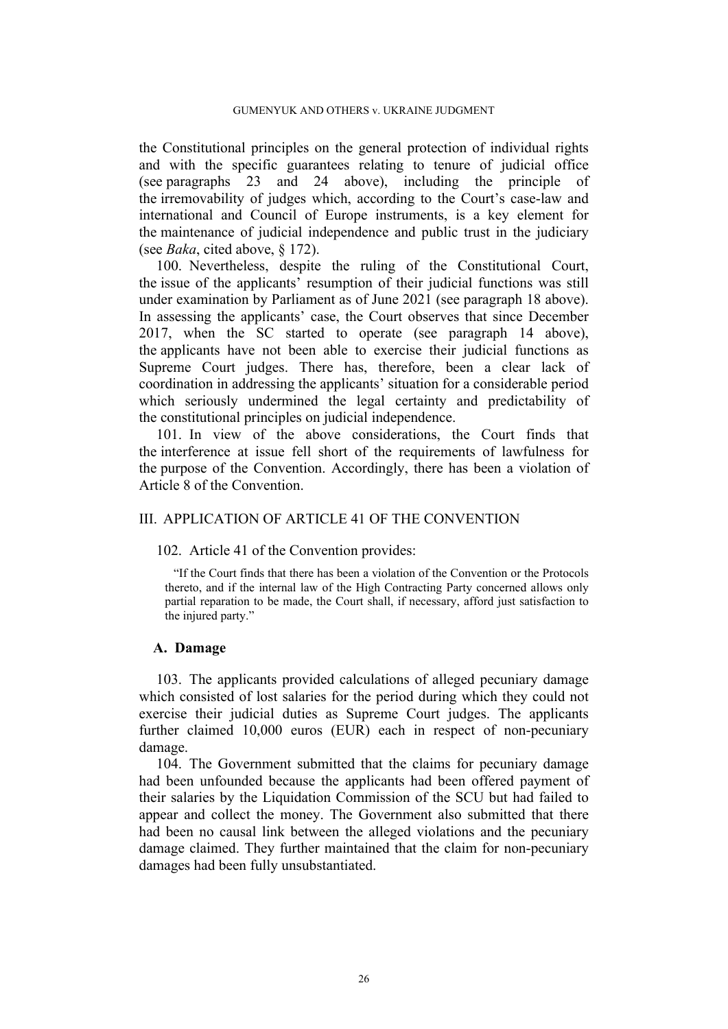the Constitutional principles on the general protection of individual rights and with the specific guarantees relating to tenure of judicial office (see paragraphs [23](#page-7-0) and [24](#page-7-1) above), including the principle of the irremovability of judges which, according to the Court's case-law and international and Council of Europe instruments, is a key element for the maintenance of judicial independence and public trust in the judiciary (see *Baka*, cited above, § 172).

100. Nevertheless, despite the ruling of the Constitutional Court, the issue of the applicants' resumption of their judicial functions was still under examination by Parliament as of June 2021 (see paragraph [18](#page-6-0) above). In assessing the applicants' case, the Court observes that since December 2017, when the SC started to operate (see paragraph [14](#page-4-1) above), the applicants have not been able to exercise their judicial functions as Supreme Court judges. There has, therefore, been a clear lack of coordination in addressing the applicants' situation for a considerable period which seriously undermined the legal certainty and predictability of the constitutional principles on judicial independence.

101. In view of the above considerations, the Court finds that the interference at issue fell short of the requirements of lawfulness for the purpose of the Convention. Accordingly, there has been a violation of Article 8 of the Convention.

## III. APPLICATION OF ARTICLE 41 OF THE CONVENTION

102. Article 41 of the Convention provides:

"If the Court finds that there has been a violation of the Convention or the Protocols thereto, and if the internal law of the High Contracting Party concerned allows only partial reparation to be made, the Court shall, if necessary, afford just satisfaction to the injured party."

#### **A. Damage**

103. The applicants provided calculations of alleged pecuniary damage which consisted of lost salaries for the period during which they could not exercise their judicial duties as Supreme Court judges. The applicants further claimed 10,000 euros (EUR) each in respect of non-pecuniary damage.

104. The Government submitted that the claims for pecuniary damage had been unfounded because the applicants had been offered payment of their salaries by the Liquidation Commission of the SCU but had failed to appear and collect the money. The Government also submitted that there had been no causal link between the alleged violations and the pecuniary damage claimed. They further maintained that the claim for non-pecuniary damages had been fully unsubstantiated.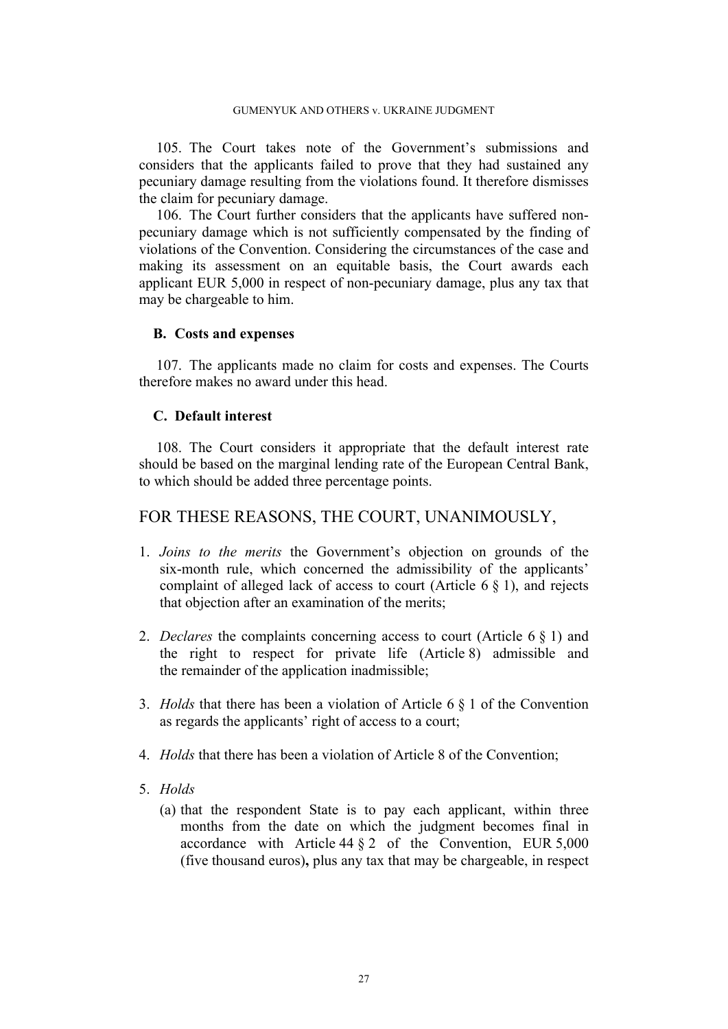105. The Court takes note of the Government's submissions and considers that the applicants failed to prove that they had sustained any pecuniary damage resulting from the violations found. It therefore dismisses the claim for pecuniary damage.

106. The Court further considers that the applicants have suffered nonpecuniary damage which is not sufficiently compensated by the finding of violations of the Convention. Considering the circumstances of the case and making its assessment on an equitable basis, the Court awards each applicant EUR 5,000 in respect of non-pecuniary damage, plus any tax that may be chargeable to him.

#### **B. Costs and expenses**

107. The applicants made no claim for costs and expenses. The Courts therefore makes no award under this head.

#### **C. Default interest**

108. The Court considers it appropriate that the default interest rate should be based on the marginal lending rate of the European Central Bank, to which should be added three percentage points.

# FOR THESE REASONS, THE COURT, UNANIMOUSLY,

- 1. *Joins to the merits* the Government's objection on grounds of the six-month rule, which concerned the admissibility of the applicants' complaint of alleged lack of access to court (Article 6 § 1), and rejects that objection after an examination of the merits;
- 2. *Declares* the complaints concerning access to court (Article 6 § 1) and the right to respect for private life (Article 8) admissible and the remainder of the application inadmissible;
- 3. *Holds* that there has been a violation of Article 6 § 1 of the Convention as regards the applicants' right of access to a court;
- 4. *Holds* that there has been a violation of Article 8 of the Convention;
- 5. *Holds*
	- (a) that the respondent State is to pay each applicant, within three months from the date on which the judgment becomes final in accordance with Article 44  $\S$  2 of the Convention, EUR 5,000 (five thousand euros)**,** plus any tax that may be chargeable, in respect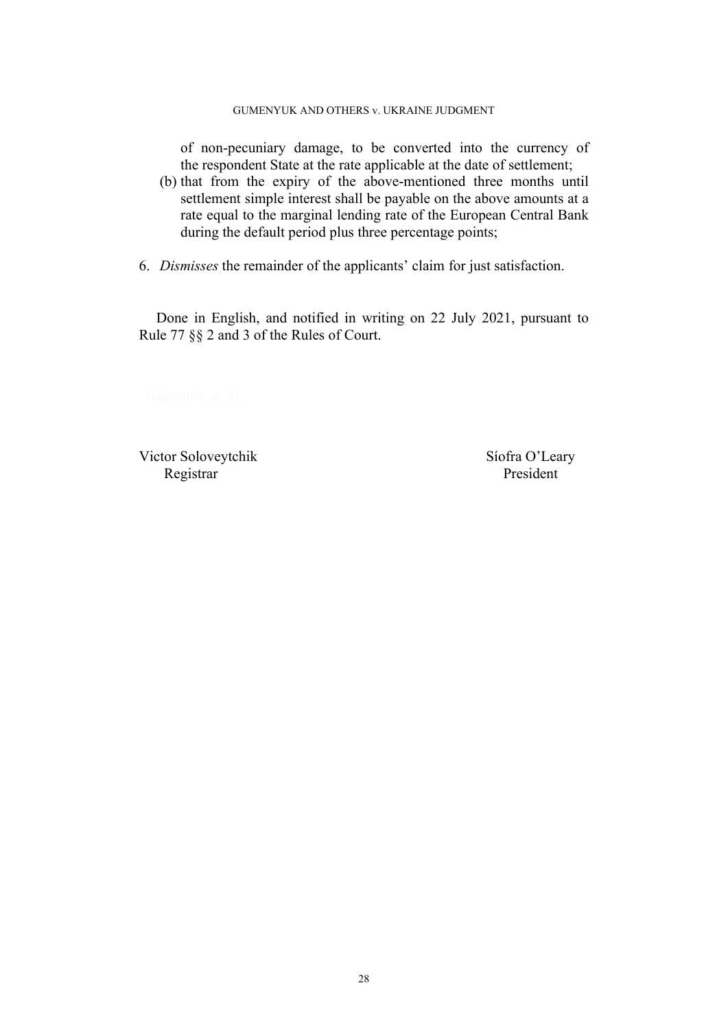#### GUMENYUK AND OTHERS v. UKRAINE JUDGMENT

of non-pecuniary damage, to be converted into the currency of the respondent State at the rate applicable at the date of settlement;

- (b) that from the expiry of the above-mentioned three months until settlement simple interest shall be payable on the above amounts at a rate equal to the marginal lending rate of the European Central Bank during the default period plus three percentage points;
- 6. *Dismisses* the remainder of the applicants' claim for just satisfaction.

Done in English, and notified in writing on 22 July 2021, pursuant to Rule 77 §§ 2 and 3 of the Rules of Court.

Victor Soloveytchik Síofra O'Leary Registrar President